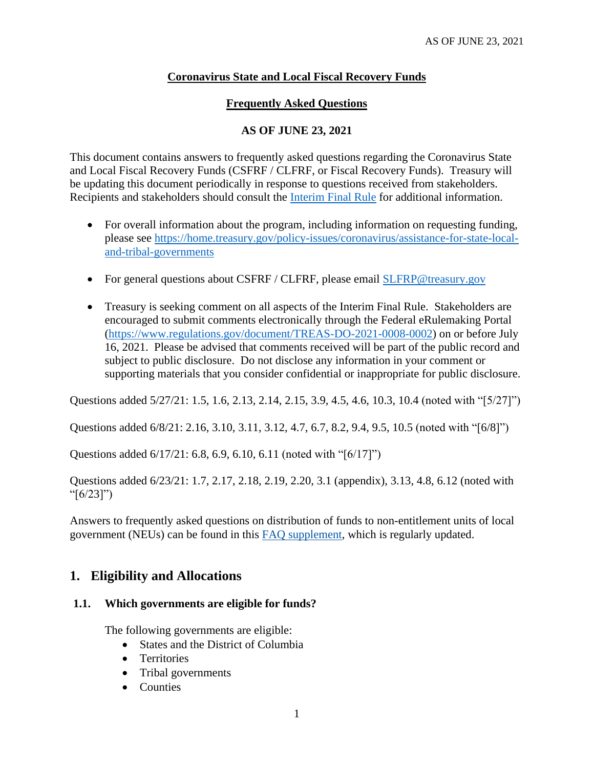## **Coronavirus State and Local Fiscal Recovery Funds**

## **Frequently Asked Questions**

## **AS OF JUNE 23, 2021**

This document contains answers to frequently asked questions regarding the Coronavirus State and Local Fiscal Recovery Funds (CSFRF / CLFRF, or Fiscal Recovery Funds). Treasury will be updating this document periodically in response to questions received from stakeholders. Recipients and stakeholders should consult the **Interim Final Rule** for additional information.

- For overall information about the program, including information on requesting funding, please see [https://home.treasury.gov/policy-issues/coronavirus/assistance-for-state-local](https://home.treasury.gov/policy-issues/coronavirus/assistance-for-state-local-and-tribal-governments)[and-tribal-governments](https://home.treasury.gov/policy-issues/coronavirus/assistance-for-state-local-and-tribal-governments)
- For general questions about CSFRF / CLFRF, please email [SLFRP@treasury.gov](mailto:SLFRP@treasury.gov)
- Treasury is seeking comment on all aspects of the Interim Final Rule. Stakeholders are encouraged to submit comments electronically through the Federal eRulemaking Portal [\(https://www.regulations.gov/document/TREAS-DO-2021-0008-0002\)](https://www.regulations.gov/document/TREAS-DO-2021-0008-0002) on or before July 16, 2021. Please be advised that comments received will be part of the public record and subject to public disclosure. Do not disclose any information in your comment or supporting materials that you consider confidential or inappropriate for public disclosure.

Questions added 5/27/21: [1.5,](#page-1-0) [1.6,](#page-2-0) [2.13,](#page-6-0) [2.14,](#page-6-1) [2.15,](#page-7-0) [3.9,](#page-13-0) [4.5,](#page-16-0) [4.6,](#page-16-1) [10.3,](#page-30-0) [10.4](#page-30-1) (noted with "[5/27]")

Questions added 6/8/21: [2.16,](#page-7-1) [3.10,](#page-14-0) [3.11,](#page-14-1) [3.12,](#page-14-2) [4.7,](#page-16-2) [6.7,](#page-23-0) [8.2,](#page-26-0) [9.4,](#page-28-0) [9.5,](#page-29-0) [10.5](#page-30-2) (noted with "[6/8]")

Questions added 6/17/21: [6.8,](#page-23-1) [6.9,](#page-23-2) [6.10,](#page-24-0) [6.11](#page-24-1) (noted with "[6/17]")

Questions added 6/23/21: [1.7,](#page-2-1) [2.17,](#page-8-0) [2.18,](#page-9-0) [2.19,](#page-10-0) [2.20,](#page-10-1) [3.1](#page-11-0) [\(appendix\)](#page-34-0), [3.13,](#page-14-3) [4.8,](#page-18-0) [6.12](#page-25-0) (noted with " $[6/23]$ ")

Answers to frequently asked questions on distribution of funds to non-entitlement units of local government (NEUs) can be found in this [FAQ supplement,](https://home.treasury.gov/system/files/136/NEU-FAQs.pdf) which is regularly updated.

## **1. Eligibility and Allocations**

## **1.1. Which governments are eligible for funds?**

The following governments are eligible:

- States and the District of Columbia
- Territories
- Tribal governments
- Counties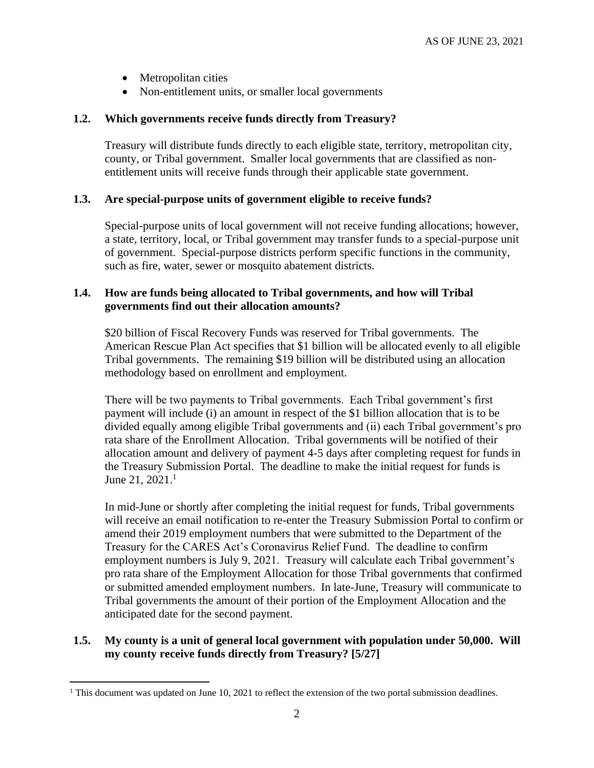- Metropolitan cities
- Non-entitlement units, or smaller local governments

#### **1.2. Which governments receive funds directly from Treasury?**

Treasury will distribute funds directly to each eligible state, territory, metropolitan city, county, or Tribal government. Smaller local governments that are classified as nonentitlement units will receive funds through their applicable state government.

### **1.3. Are special-purpose units of government eligible to receive funds?**

Special-purpose units of local government will not receive funding allocations; however, a state, territory, local, or Tribal government may transfer funds to a special-purpose unit of government. Special-purpose districts perform specific functions in the community, such as fire, water, sewer or mosquito abatement districts.

### **1.4. How are funds being allocated to Tribal governments, and how will Tribal governments find out their allocation amounts?**

\$20 billion of Fiscal Recovery Funds was reserved for Tribal governments. The American Rescue Plan Act specifies that \$1 billion will be allocated evenly to all eligible Tribal governments. The remaining \$19 billion will be distributed using an allocation methodology based on enrollment and employment.

There will be two payments to Tribal governments. Each Tribal government's first payment will include (i) an amount in respect of the \$1 billion allocation that is to be divided equally among eligible Tribal governments and (ii) each Tribal government's pro rata share of the Enrollment Allocation. Tribal governments will be notified of their allocation amount and delivery of payment 4-5 days after completing request for funds in the Treasury Submission Portal. The deadline to make the initial request for funds is June 21,  $2021<sup>1</sup>$ 

In mid-June or shortly after completing the initial request for funds, Tribal governments will receive an email notification to re-enter the Treasury Submission Portal to confirm or amend their 2019 employment numbers that were submitted to the Department of the Treasury for the CARES Act's Coronavirus Relief Fund. The deadline to confirm employment numbers is July 9, 2021. Treasury will calculate each Tribal government's pro rata share of the Employment Allocation for those Tribal governments that confirmed or submitted amended employment numbers. In late-June, Treasury will communicate to Tribal governments the amount of their portion of the Employment Allocation and the anticipated date for the second payment.

### <span id="page-1-0"></span>**1.5. My county is a unit of general local government with population under 50,000. Will my county receive funds directly from Treasury? [5/27]**

<sup>&</sup>lt;sup>1</sup> This document was updated on June 10, 2021 to reflect the extension of the two portal submission deadlines.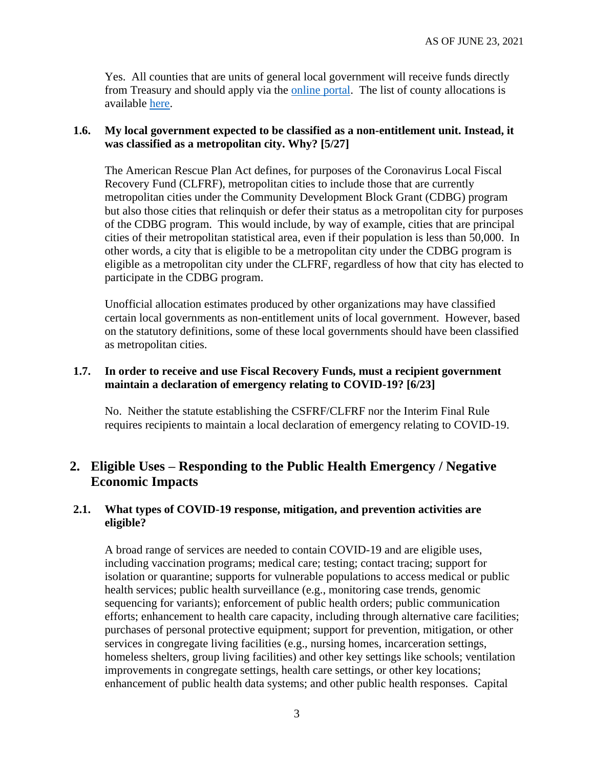Yes. All counties that are units of general local government will receive funds directly from Treasury and should apply via the [online portal.](https://home.treasury.gov/policy-issues/coronavirus/assistance-for-state-local-and-tribal-governments/state-and-local-fiscal-recovery-fund/request-funding) The list of county allocations is available [here.](https://home.treasury.gov/system/files/136/fiscalrecoveryfunds_countyfunding_2021.05.10-1a-508A.pdf)

#### <span id="page-2-0"></span>**1.6. My local government expected to be classified as a non-entitlement unit. Instead, it was classified as a metropolitan city. Why? [5/27]**

The American Rescue Plan Act defines, for purposes of the Coronavirus Local Fiscal Recovery Fund (CLFRF), metropolitan cities to include those that are currently metropolitan cities under the Community Development Block Grant (CDBG) program but also those cities that relinquish or defer their status as a metropolitan city for purposes of the CDBG program. This would include, by way of example, cities that are principal cities of their metropolitan statistical area, even if their population is less than 50,000. In other words, a city that is eligible to be a metropolitan city under the CDBG program is eligible as a metropolitan city under the CLFRF, regardless of how that city has elected to participate in the CDBG program.

Unofficial allocation estimates produced by other organizations may have classified certain local governments as non-entitlement units of local government. However, based on the statutory definitions, some of these local governments should have been classified as metropolitan cities.

#### <span id="page-2-1"></span>**1.7. In order to receive and use Fiscal Recovery Funds, must a recipient government maintain a declaration of emergency relating to COVID-19? [6/23]**

No. Neither the statute establishing the CSFRF/CLFRF nor the Interim Final Rule requires recipients to maintain a local declaration of emergency relating to COVID-19.

# **2. Eligible Uses – Responding to the Public Health Emergency / Negative Economic Impacts**

### **2.1. What types of COVID-19 response, mitigation, and prevention activities are eligible?**

A broad range of services are needed to contain COVID-19 and are eligible uses, including vaccination programs; medical care; testing; contact tracing; support for isolation or quarantine; supports for vulnerable populations to access medical or public health services; public health surveillance (e.g., monitoring case trends, genomic sequencing for variants); enforcement of public health orders; public communication efforts; enhancement to health care capacity, including through alternative care facilities; purchases of personal protective equipment; support for prevention, mitigation, or other services in congregate living facilities (e.g., nursing homes, incarceration settings, homeless shelters, group living facilities) and other key settings like schools; ventilation improvements in congregate settings, health care settings, or other key locations; enhancement of public health data systems; and other public health responses. Capital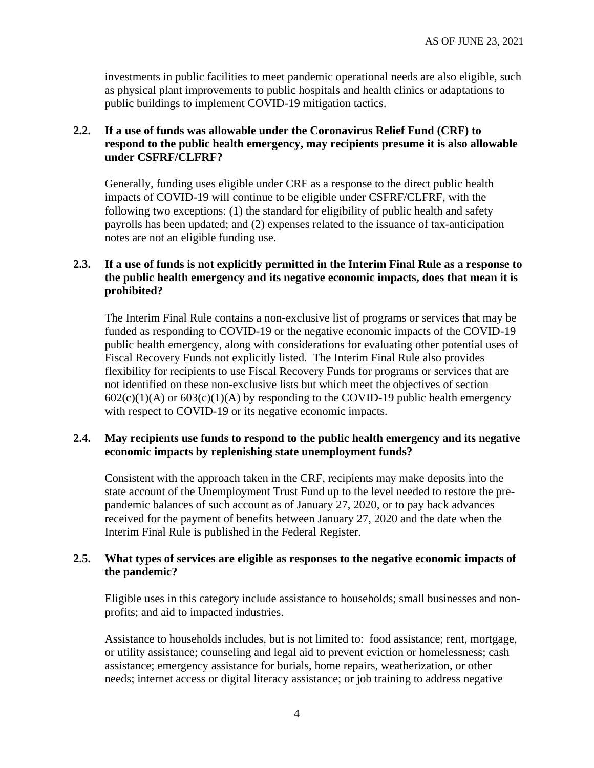investments in public facilities to meet pandemic operational needs are also eligible, such as physical plant improvements to public hospitals and health clinics or adaptations to public buildings to implement COVID-19 mitigation tactics.

### **2.2. If a use of funds was allowable under the Coronavirus Relief Fund (CRF) to respond to the public health emergency, may recipients presume it is also allowable under CSFRF/CLFRF?**

Generally, funding uses eligible under CRF as a response to the direct public health impacts of COVID-19 will continue to be eligible under CSFRF/CLFRF, with the following two exceptions: (1) the standard for eligibility of public health and safety payrolls has been updated; and (2) expenses related to the issuance of tax-anticipation notes are not an eligible funding use.

#### **2.3. If a use of funds is not explicitly permitted in the Interim Final Rule as a response to the public health emergency and its negative economic impacts, does that mean it is prohibited?**

The Interim Final Rule contains a non-exclusive list of programs or services that may be funded as responding to COVID-19 or the negative economic impacts of the COVID-19 public health emergency, along with considerations for evaluating other potential uses of Fiscal Recovery Funds not explicitly listed. The Interim Final Rule also provides flexibility for recipients to use Fiscal Recovery Funds for programs or services that are not identified on these non-exclusive lists but which meet the objectives of section  $602(c)(1)(A)$  or  $603(c)(1)(A)$  by responding to the COVID-19 public health emergency with respect to COVID-19 or its negative economic impacts.

#### **2.4. May recipients use funds to respond to the public health emergency and its negative economic impacts by replenishing state unemployment funds?**

Consistent with the approach taken in the CRF, recipients may make deposits into the state account of the Unemployment Trust Fund up to the level needed to restore the prepandemic balances of such account as of January 27, 2020, or to pay back advances received for the payment of benefits between January 27, 2020 and the date when the Interim Final Rule is published in the Federal Register.

#### **2.5. What types of services are eligible as responses to the negative economic impacts of the pandemic?**

Eligible uses in this category include assistance to households; small businesses and nonprofits; and aid to impacted industries.

Assistance to households includes, but is not limited to: food assistance; rent, mortgage, or utility assistance; counseling and legal aid to prevent eviction or homelessness; cash assistance; emergency assistance for burials, home repairs, weatherization, or other needs; internet access or digital literacy assistance; or job training to address negative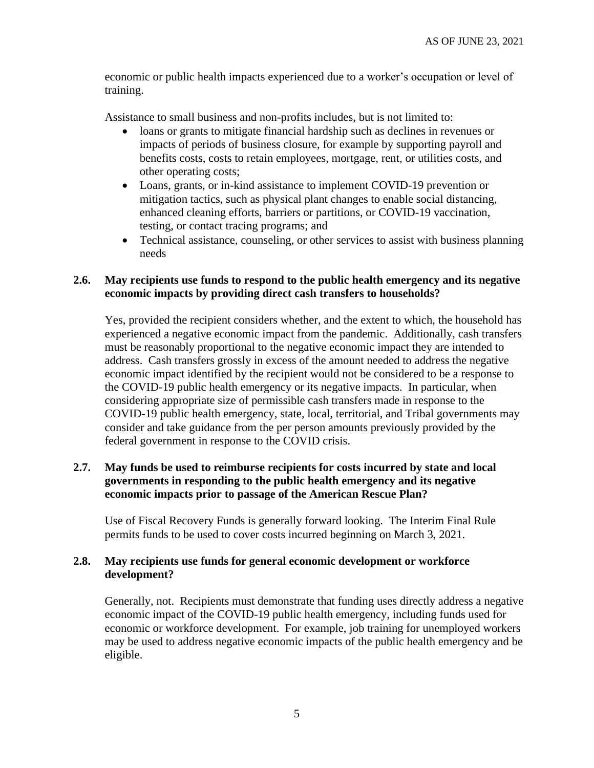economic or public health impacts experienced due to a worker's occupation or level of training.

Assistance to small business and non-profits includes, but is not limited to:

- loans or grants to mitigate financial hardship such as declines in revenues or impacts of periods of business closure, for example by supporting payroll and benefits costs, costs to retain employees, mortgage, rent, or utilities costs, and other operating costs;
- Loans, grants, or in-kind assistance to implement COVID-19 prevention or mitigation tactics, such as physical plant changes to enable social distancing, enhanced cleaning efforts, barriers or partitions, or COVID-19 vaccination, testing, or contact tracing programs; and
- Technical assistance, counseling, or other services to assist with business planning needs

## **2.6. May recipients use funds to respond to the public health emergency and its negative economic impacts by providing direct cash transfers to households?**

Yes, provided the recipient considers whether, and the extent to which, the household has experienced a negative economic impact from the pandemic. Additionally, cash transfers must be reasonably proportional to the negative economic impact they are intended to address. Cash transfers grossly in excess of the amount needed to address the negative economic impact identified by the recipient would not be considered to be a response to the COVID-19 public health emergency or its negative impacts. In particular, when considering appropriate size of permissible cash transfers made in response to the COVID-19 public health emergency, state, local, territorial, and Tribal governments may consider and take guidance from the per person amounts previously provided by the federal government in response to the COVID crisis.

## **2.7. May funds be used to reimburse recipients for costs incurred by state and local governments in responding to the public health emergency and its negative economic impacts prior to passage of the American Rescue Plan?**

Use of Fiscal Recovery Funds is generally forward looking. The Interim Final Rule permits funds to be used to cover costs incurred beginning on March 3, 2021.

### **2.8. May recipients use funds for general economic development or workforce development?**

Generally, not. Recipients must demonstrate that funding uses directly address a negative economic impact of the COVID-19 public health emergency, including funds used for economic or workforce development. For example, job training for unemployed workers may be used to address negative economic impacts of the public health emergency and be eligible.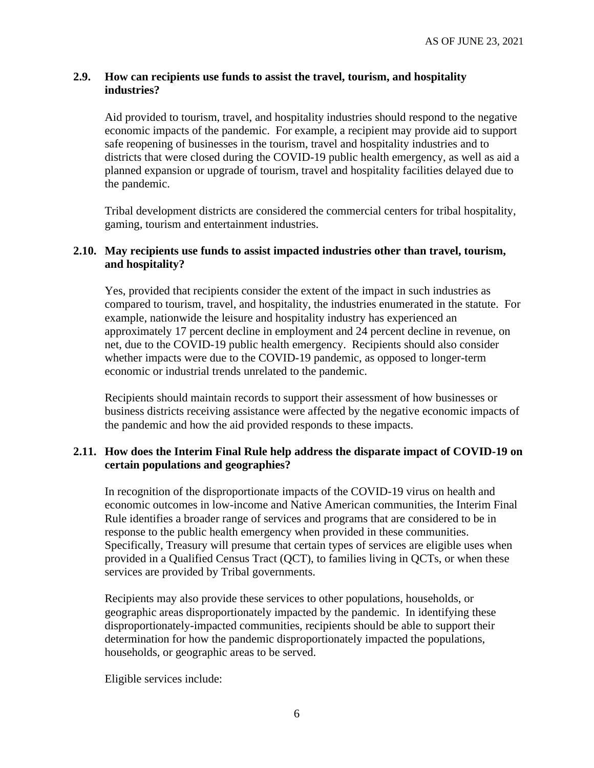#### **2.9. How can recipients use funds to assist the travel, tourism, and hospitality industries?**

Aid provided to tourism, travel, and hospitality industries should respond to the negative economic impacts of the pandemic. For example, a recipient may provide aid to support safe reopening of businesses in the tourism, travel and hospitality industries and to districts that were closed during the COVID-19 public health emergency, as well as aid a planned expansion or upgrade of tourism, travel and hospitality facilities delayed due to the pandemic.

Tribal development districts are considered the commercial centers for tribal hospitality, gaming, tourism and entertainment industries.

#### **2.10. May recipients use funds to assist impacted industries other than travel, tourism, and hospitality?**

Yes, provided that recipients consider the extent of the impact in such industries as compared to tourism, travel, and hospitality, the industries enumerated in the statute. For example, nationwide the leisure and hospitality industry has experienced an approximately 17 percent decline in employment and 24 percent decline in revenue, on net, due to the COVID-19 public health emergency. Recipients should also consider whether impacts were due to the COVID-19 pandemic, as opposed to longer-term economic or industrial trends unrelated to the pandemic.

Recipients should maintain records to support their assessment of how businesses or business districts receiving assistance were affected by the negative economic impacts of the pandemic and how the aid provided responds to these impacts.

### **2.11. How does the Interim Final Rule help address the disparate impact of COVID-19 on certain populations and geographies?**

In recognition of the disproportionate impacts of the COVID-19 virus on health and economic outcomes in low-income and Native American communities, the Interim Final Rule identifies a broader range of services and programs that are considered to be in response to the public health emergency when provided in these communities. Specifically, Treasury will presume that certain types of services are eligible uses when provided in a Qualified Census Tract (QCT), to families living in QCTs, or when these services are provided by Tribal governments.

Recipients may also provide these services to other populations, households, or geographic areas disproportionately impacted by the pandemic. In identifying these disproportionately-impacted communities, recipients should be able to support their determination for how the pandemic disproportionately impacted the populations, households, or geographic areas to be served.

Eligible services include: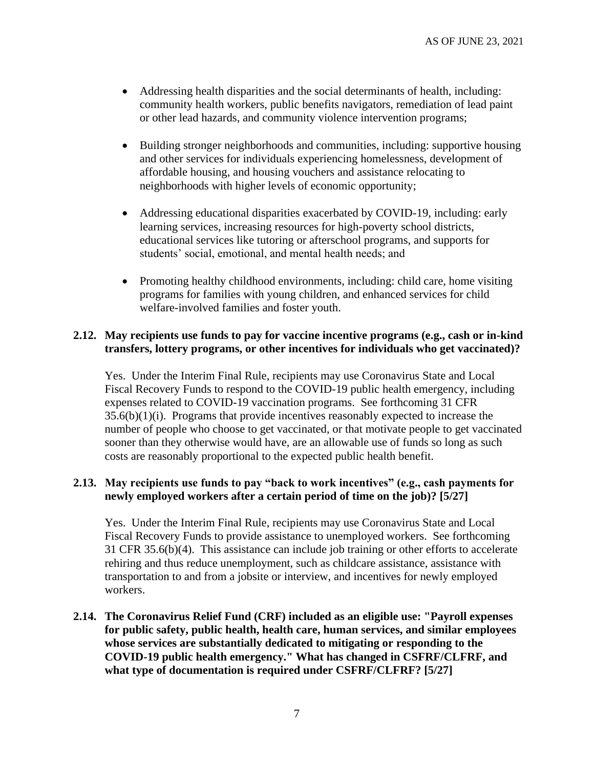- Addressing health disparities and the social determinants of health, including: community health workers, public benefits navigators, remediation of lead paint or other lead hazards, and community violence intervention programs;
- Building stronger neighborhoods and communities, including: supportive housing and other services for individuals experiencing homelessness, development of affordable housing, and housing vouchers and assistance relocating to neighborhoods with higher levels of economic opportunity;
- Addressing educational disparities exacerbated by COVID-19, including: early learning services, increasing resources for high-poverty school districts, educational services like tutoring or afterschool programs, and supports for students' social, emotional, and mental health needs; and
- Promoting healthy childhood environments, including: child care, home visiting programs for families with young children, and enhanced services for child welfare-involved families and foster youth.

### **2.12. May recipients use funds to pay for vaccine incentive programs (e.g., cash or in-kind transfers, lottery programs, or other incentives for individuals who get vaccinated)?**

Yes. Under the Interim Final Rule, recipients may use Coronavirus State and Local Fiscal Recovery Funds to respond to the COVID-19 public health emergency, including expenses related to COVID-19 vaccination programs. See forthcoming 31 CFR 35.6(b)(1)(i). Programs that provide incentives reasonably expected to increase the number of people who choose to get vaccinated, or that motivate people to get vaccinated sooner than they otherwise would have, are an allowable use of funds so long as such costs are reasonably proportional to the expected public health benefit.

#### <span id="page-6-0"></span>**2.13. May recipients use funds to pay "back to work incentives" (e.g., cash payments for newly employed workers after a certain period of time on the job)? [5/27]**

Yes. Under the Interim Final Rule, recipients may use Coronavirus State and Local Fiscal Recovery Funds to provide assistance to unemployed workers. See forthcoming 31 CFR 35.6(b)(4). This assistance can include job training or other efforts to accelerate rehiring and thus reduce unemployment, such as childcare assistance, assistance with transportation to and from a jobsite or interview, and incentives for newly employed workers.

<span id="page-6-1"></span>**2.14. The Coronavirus Relief Fund (CRF) included as an eligible use: "Payroll expenses for public safety, public health, health care, human services, and similar employees whose services are substantially dedicated to mitigating or responding to the COVID-19 public health emergency." What has changed in CSFRF/CLFRF, and what type of documentation is required under CSFRF/CLFRF? [5/27]**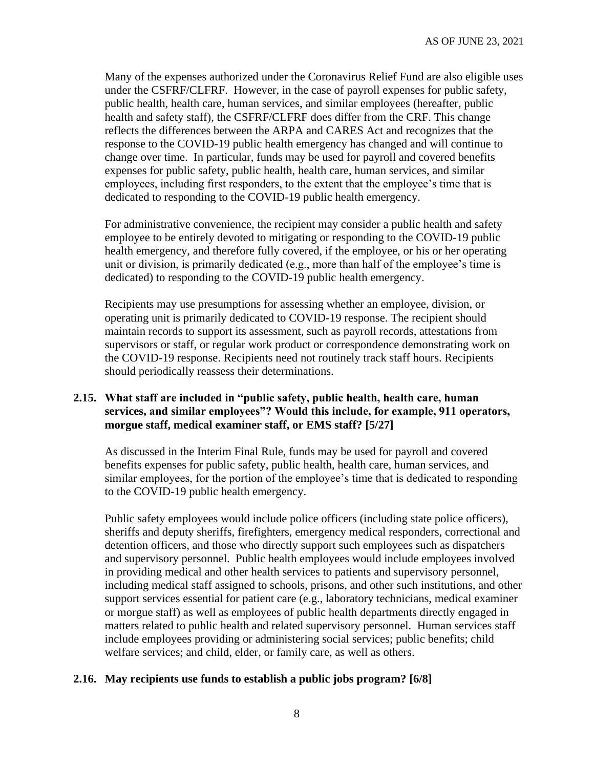Many of the expenses authorized under the Coronavirus Relief Fund are also eligible uses under the CSFRF/CLFRF. However, in the case of payroll expenses for public safety, public health, health care, human services, and similar employees (hereafter, public health and safety staff), the CSFRF/CLFRF does differ from the CRF. This change reflects the differences between the ARPA and CARES Act and recognizes that the response to the COVID-19 public health emergency has changed and will continue to change over time. In particular, funds may be used for payroll and covered benefits expenses for public safety, public health, health care, human services, and similar employees, including first responders, to the extent that the employee's time that is dedicated to responding to the COVID-19 public health emergency.

For administrative convenience, the recipient may consider a public health and safety employee to be entirely devoted to mitigating or responding to the COVID-19 public health emergency, and therefore fully covered, if the employee, or his or her operating unit or division, is primarily dedicated (e.g., more than half of the employee's time is dedicated) to responding to the COVID-19 public health emergency.

Recipients may use presumptions for assessing whether an employee, division, or operating unit is primarily dedicated to COVID-19 response. The recipient should maintain records to support its assessment, such as payroll records, attestations from supervisors or staff, or regular work product or correspondence demonstrating work on the COVID-19 response. Recipients need not routinely track staff hours. Recipients should periodically reassess their determinations.

### <span id="page-7-0"></span>**2.15. What staff are included in "public safety, public health, health care, human services, and similar employees"? Would this include, for example, 911 operators, morgue staff, medical examiner staff, or EMS staff? [5/27]**

As discussed in the Interim Final Rule, funds may be used for payroll and covered benefits expenses for public safety, public health, health care, human services, and similar employees, for the portion of the employee's time that is dedicated to responding to the COVID-19 public health emergency.

Public safety employees would include police officers (including state police officers), sheriffs and deputy sheriffs, firefighters, emergency medical responders, correctional and detention officers, and those who directly support such employees such as dispatchers and supervisory personnel. Public health employees would include employees involved in providing medical and other health services to patients and supervisory personnel, including medical staff assigned to schools, prisons, and other such institutions, and other support services essential for patient care (e.g., laboratory technicians, medical examiner or morgue staff) as well as employees of public health departments directly engaged in matters related to public health and related supervisory personnel. Human services staff include employees providing or administering social services; public benefits; child welfare services; and child, elder, or family care, as well as others.

## <span id="page-7-1"></span>**2.16. May recipients use funds to establish a public jobs program? [6/8]**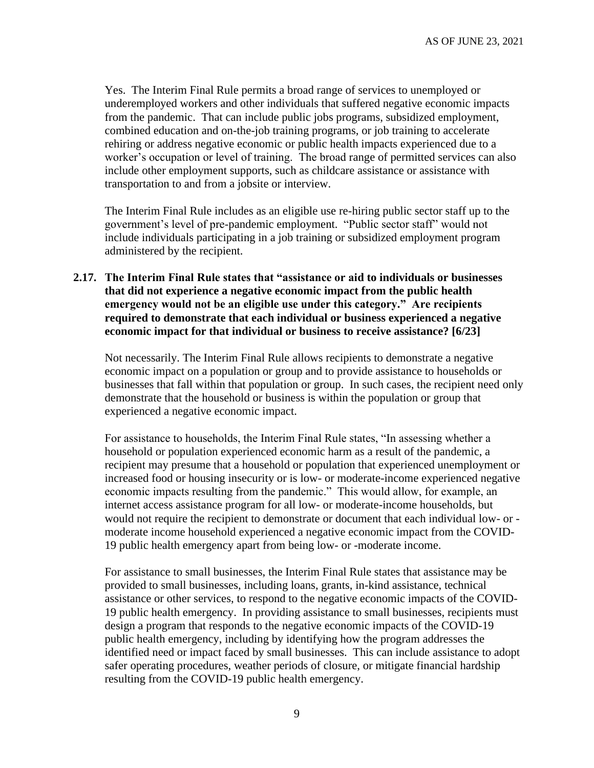Yes. The Interim Final Rule permits a broad range of services to unemployed or underemployed workers and other individuals that suffered negative economic impacts from the pandemic. That can include public jobs programs, subsidized employment, combined education and on-the-job training programs, or job training to accelerate rehiring or address negative economic or public health impacts experienced due to a worker's occupation or level of training. The broad range of permitted services can also include other employment supports, such as childcare assistance or assistance with transportation to and from a jobsite or interview.

The Interim Final Rule includes as an eligible use re-hiring public sector staff up to the government's level of pre-pandemic employment. "Public sector staff" would not include individuals participating in a job training or subsidized employment program administered by the recipient.

### <span id="page-8-0"></span>**2.17. The Interim Final Rule states that "assistance or aid to individuals or businesses that did not experience a negative economic impact from the public health emergency would not be an eligible use under this category." Are recipients required to demonstrate that each individual or business experienced a negative economic impact for that individual or business to receive assistance? [6/23]**

Not necessarily. The Interim Final Rule allows recipients to demonstrate a negative economic impact on a population or group and to provide assistance to households or businesses that fall within that population or group. In such cases, the recipient need only demonstrate that the household or business is within the population or group that experienced a negative economic impact.

For assistance to households, the Interim Final Rule states, "In assessing whether a household or population experienced economic harm as a result of the pandemic, a recipient may presume that a household or population that experienced unemployment or increased food or housing insecurity or is low- or moderate-income experienced negative economic impacts resulting from the pandemic." This would allow, for example, an internet access assistance program for all low- or moderate-income households, but would not require the recipient to demonstrate or document that each individual low- or moderate income household experienced a negative economic impact from the COVID-19 public health emergency apart from being low- or -moderate income.

For assistance to small businesses, the Interim Final Rule states that assistance may be provided to small businesses, including loans, grants, in-kind assistance, technical assistance or other services, to respond to the negative economic impacts of the COVID-19 public health emergency. In providing assistance to small businesses, recipients must design a program that responds to the negative economic impacts of the COVID-19 public health emergency, including by identifying how the program addresses the identified need or impact faced by small businesses. This can include assistance to adopt safer operating procedures, weather periods of closure, or mitigate financial hardship resulting from the COVID-19 public health emergency.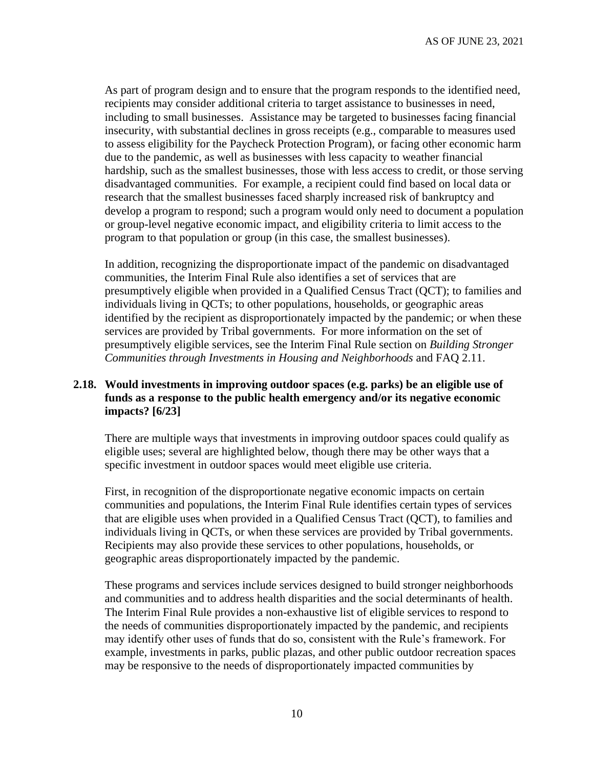As part of program design and to ensure that the program responds to the identified need, recipients may consider additional criteria to target assistance to businesses in need, including to small businesses. Assistance may be targeted to businesses facing financial insecurity, with substantial declines in gross receipts (e.g., comparable to measures used to assess eligibility for the Paycheck Protection Program), or facing other economic harm due to the pandemic, as well as businesses with less capacity to weather financial hardship, such as the smallest businesses, those with less access to credit, or those serving disadvantaged communities. For example, a recipient could find based on local data or research that the smallest businesses faced sharply increased risk of bankruptcy and develop a program to respond; such a program would only need to document a population or group-level negative economic impact, and eligibility criteria to limit access to the program to that population or group (in this case, the smallest businesses).

In addition, recognizing the disproportionate impact of the pandemic on disadvantaged communities, the Interim Final Rule also identifies a set of services that are presumptively eligible when provided in a Qualified Census Tract (QCT); to families and individuals living in QCTs; to other populations, households, or geographic areas identified by the recipient as disproportionately impacted by the pandemic; or when these services are provided by Tribal governments. For more information on the set of presumptively eligible services, see the Interim Final Rule section on *Building Stronger Communities through Investments in Housing and Neighborhoods* and FAQ 2.11.

### <span id="page-9-0"></span>**2.18. Would investments in improving outdoor spaces (e.g. parks) be an eligible use of funds as a response to the public health emergency and/or its negative economic impacts? [6/23]**

There are multiple ways that investments in improving outdoor spaces could qualify as eligible uses; several are highlighted below, though there may be other ways that a specific investment in outdoor spaces would meet eligible use criteria.

First, in recognition of the disproportionate negative economic impacts on certain communities and populations, the Interim Final Rule identifies certain types of services that are eligible uses when provided in a Qualified Census Tract (QCT), to families and individuals living in QCTs, or when these services are provided by Tribal governments. Recipients may also provide these services to other populations, households, or geographic areas disproportionately impacted by the pandemic.

These programs and services include services designed to build stronger neighborhoods and communities and to address health disparities and the social determinants of health. The Interim Final Rule provides a non-exhaustive list of eligible services to respond to the needs of communities disproportionately impacted by the pandemic, and recipients may identify other uses of funds that do so, consistent with the Rule's framework. For example, investments in parks, public plazas, and other public outdoor recreation spaces may be responsive to the needs of disproportionately impacted communities by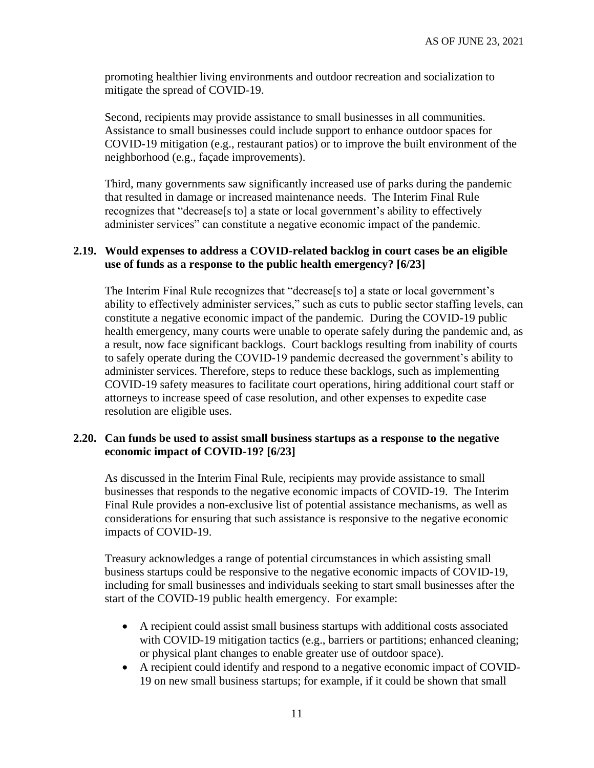promoting healthier living environments and outdoor recreation and socialization to mitigate the spread of COVID-19.

Second, recipients may provide assistance to small businesses in all communities. Assistance to small businesses could include support to enhance outdoor spaces for COVID-19 mitigation (e.g., restaurant patios) or to improve the built environment of the neighborhood (e.g., façade improvements).

Third, many governments saw significantly increased use of parks during the pandemic that resulted in damage or increased maintenance needs. The Interim Final Rule recognizes that "decrease[s to] a state or local government's ability to effectively administer services" can constitute a negative economic impact of the pandemic.

### <span id="page-10-0"></span>**2.19. Would expenses to address a COVID-related backlog in court cases be an eligible use of funds as a response to the public health emergency? [6/23]**

The Interim Final Rule recognizes that "decrease<sup>[s to]</sup> a state or local government's ability to effectively administer services," such as cuts to public sector staffing levels, can constitute a negative economic impact of the pandemic. During the COVID-19 public health emergency, many courts were unable to operate safely during the pandemic and, as a result, now face significant backlogs. Court backlogs resulting from inability of courts to safely operate during the COVID-19 pandemic decreased the government's ability to administer services. Therefore, steps to reduce these backlogs, such as implementing COVID-19 safety measures to facilitate court operations, hiring additional court staff or attorneys to increase speed of case resolution, and other expenses to expedite case resolution are eligible uses.

#### <span id="page-10-1"></span>**2.20. Can funds be used to assist small business startups as a response to the negative economic impact of COVID-19? [6/23]**

As discussed in the Interim Final Rule, recipients may provide assistance to small businesses that responds to the negative economic impacts of COVID-19. The Interim Final Rule provides a non-exclusive list of potential assistance mechanisms, as well as considerations for ensuring that such assistance is responsive to the negative economic impacts of COVID-19.

Treasury acknowledges a range of potential circumstances in which assisting small business startups could be responsive to the negative economic impacts of COVID-19, including for small businesses and individuals seeking to start small businesses after the start of the COVID-19 public health emergency. For example:

- A recipient could assist small business startups with additional costs associated with COVID-19 mitigation tactics (e.g., barriers or partitions; enhanced cleaning; or physical plant changes to enable greater use of outdoor space).
- A recipient could identify and respond to a negative economic impact of COVID-19 on new small business startups; for example, if it could be shown that small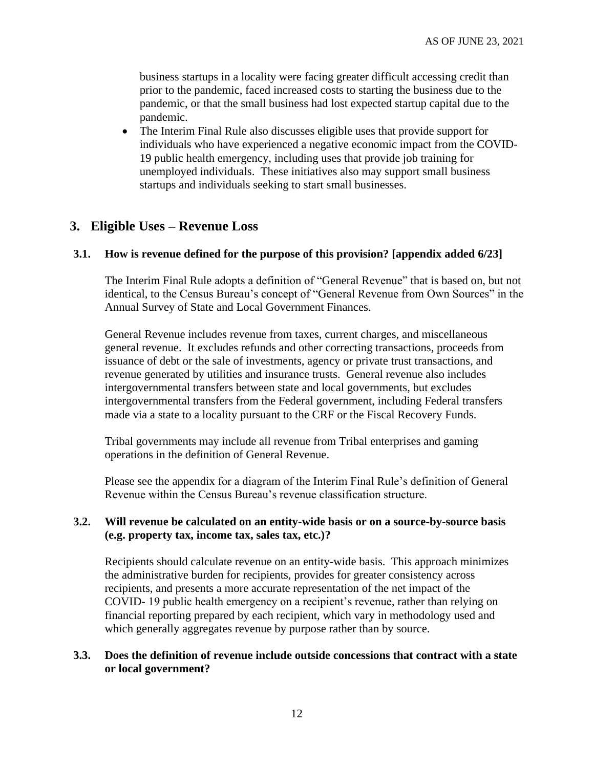business startups in a locality were facing greater difficult accessing credit than prior to the pandemic, faced increased costs to starting the business due to the pandemic, or that the small business had lost expected startup capital due to the pandemic.

• The Interim Final Rule also discusses eligible uses that provide support for individuals who have experienced a negative economic impact from the COVID-19 public health emergency, including uses that provide job training for unemployed individuals. These initiatives also may support small business startups and individuals seeking to start small businesses.

### **3. Eligible Uses – Revenue Loss**

#### <span id="page-11-0"></span>**3.1. How is revenue defined for the purpose of this provision? [\[appendix](#page-34-0) added 6/23]**

The Interim Final Rule adopts a definition of "General Revenue" that is based on, but not identical, to the Census Bureau's concept of "General Revenue from Own Sources" in the Annual Survey of State and Local Government Finances.

General Revenue includes revenue from taxes, current charges, and miscellaneous general revenue. It excludes refunds and other correcting transactions, proceeds from issuance of debt or the sale of investments, agency or private trust transactions, and revenue generated by utilities and insurance trusts. General revenue also includes intergovernmental transfers between state and local governments, but excludes intergovernmental transfers from the Federal government, including Federal transfers made via a state to a locality pursuant to the CRF or the Fiscal Recovery Funds.

Tribal governments may include all revenue from Tribal enterprises and gaming operations in the definition of General Revenue.

Please see the [appendix](#page-34-0) for a diagram of the Interim Final Rule's definition of General Revenue within the Census Bureau's revenue classification structure.

#### **3.2. Will revenue be calculated on an entity-wide basis or on a source-by-source basis (e.g. property tax, income tax, sales tax, etc.)?**

Recipients should calculate revenue on an entity-wide basis. This approach minimizes the administrative burden for recipients, provides for greater consistency across recipients, and presents a more accurate representation of the net impact of the COVID- 19 public health emergency on a recipient's revenue, rather than relying on financial reporting prepared by each recipient, which vary in methodology used and which generally aggregates revenue by purpose rather than by source.

#### **3.3. Does the definition of revenue include outside concessions that contract with a state or local government?**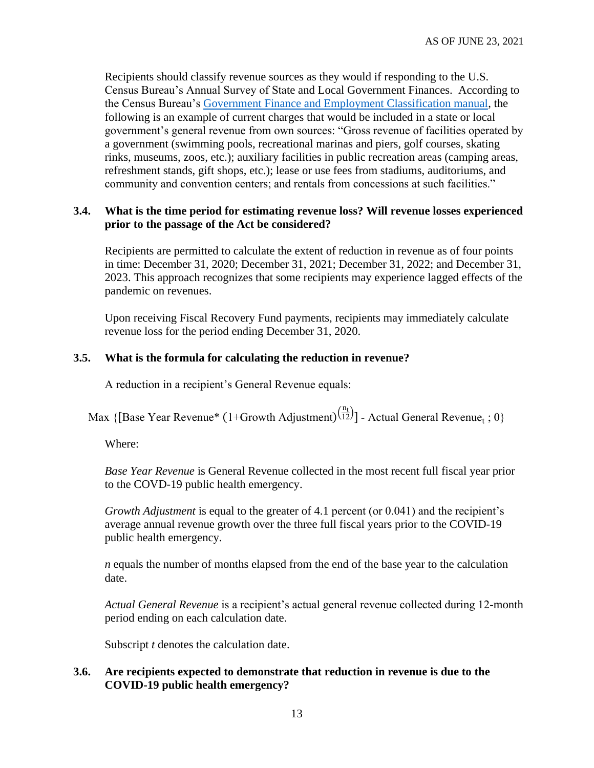Recipients should classify revenue sources as they would if responding to the U.S. Census Bureau's Annual Survey of State and Local Government Finances. According to the Census Bureau's [Government Finance and Employment Classification manual,](https://www2.census.gov/govs/pubs/classification/2006_classification_manual.pdf) the following is an example of current charges that would be included in a state or local government's general revenue from own sources: "Gross revenue of facilities operated by a government (swimming pools, recreational marinas and piers, golf courses, skating rinks, museums, zoos, etc.); auxiliary facilities in public recreation areas (camping areas, refreshment stands, gift shops, etc.); lease or use fees from stadiums, auditoriums, and community and convention centers; and rentals from concessions at such facilities."

#### **3.4. What is the time period for estimating revenue loss? Will revenue losses experienced prior to the passage of the Act be considered?**

Recipients are permitted to calculate the extent of reduction in revenue as of four points in time: December 31, 2020; December 31, 2021; December 31, 2022; and December 31, 2023. This approach recognizes that some recipients may experience lagged effects of the pandemic on revenues.

Upon receiving Fiscal Recovery Fund payments, recipients may immediately calculate revenue loss for the period ending December 31, 2020.

### **3.5. What is the formula for calculating the reduction in revenue?**

A reduction in a recipient's General Revenue equals:

Max {[Base Year Revenue\* (1+Growth Adjustment) $\frac{(n_t)}{(12)}$ ] - Actual General Revenue<sub>t</sub>; 0}

Where:

*Base Year Revenue* is General Revenue collected in the most recent full fiscal year prior to the COVD-19 public health emergency.

*Growth Adjustment* is equal to the greater of 4.1 percent (or 0.041) and the recipient's average annual revenue growth over the three full fiscal years prior to the COVID-19 public health emergency.

*n* equals the number of months elapsed from the end of the base year to the calculation date.

*Actual General Revenue* is a recipient's actual general revenue collected during 12-month period ending on each calculation date.

Subscript *t* denotes the calculation date.

### **3.6. Are recipients expected to demonstrate that reduction in revenue is due to the COVID-19 public health emergency?**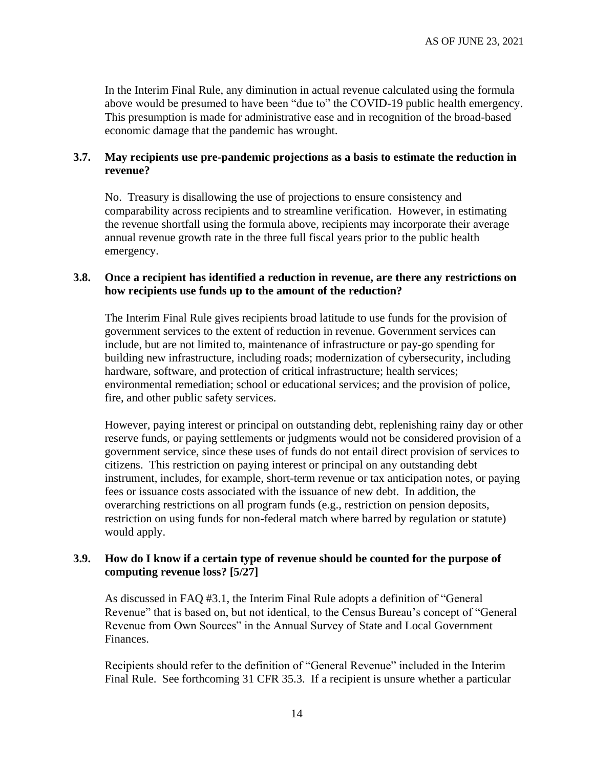In the Interim Final Rule, any diminution in actual revenue calculated using the formula above would be presumed to have been "due to" the COVID-19 public health emergency. This presumption is made for administrative ease and in recognition of the broad-based economic damage that the pandemic has wrought.

### **3.7. May recipients use pre-pandemic projections as a basis to estimate the reduction in revenue?**

No. Treasury is disallowing the use of projections to ensure consistency and comparability across recipients and to streamline verification. However, in estimating the revenue shortfall using the formula above, recipients may incorporate their average annual revenue growth rate in the three full fiscal years prior to the public health emergency.

#### <span id="page-13-1"></span>**3.8. Once a recipient has identified a reduction in revenue, are there any restrictions on how recipients use funds up to the amount of the reduction?**

The Interim Final Rule gives recipients broad latitude to use funds for the provision of government services to the extent of reduction in revenue. Government services can include, but are not limited to, maintenance of infrastructure or pay-go spending for building new infrastructure, including roads; modernization of cybersecurity, including hardware, software, and protection of critical infrastructure; health services; environmental remediation; school or educational services; and the provision of police, fire, and other public safety services.

However, paying interest or principal on outstanding debt, replenishing rainy day or other reserve funds, or paying settlements or judgments would not be considered provision of a government service, since these uses of funds do not entail direct provision of services to citizens. This restriction on paying interest or principal on any outstanding debt instrument, includes, for example, short-term revenue or tax anticipation notes, or paying fees or issuance costs associated with the issuance of new debt. In addition, the overarching restrictions on all program funds (e.g., restriction on pension deposits, restriction on using funds for non-federal match where barred by regulation or statute) would apply.

### <span id="page-13-0"></span>**3.9. How do I know if a certain type of revenue should be counted for the purpose of computing revenue loss? [5/27]**

As discussed in FAQ [#3.1,](#page-11-0) the Interim Final Rule adopts a definition of "General Revenue" that is based on, but not identical, to the Census Bureau's concept of "General Revenue from Own Sources" in the Annual Survey of State and Local Government Finances.

Recipients should refer to the definition of "General Revenue" included in the Interim Final Rule. See forthcoming 31 CFR 35.3. If a recipient is unsure whether a particular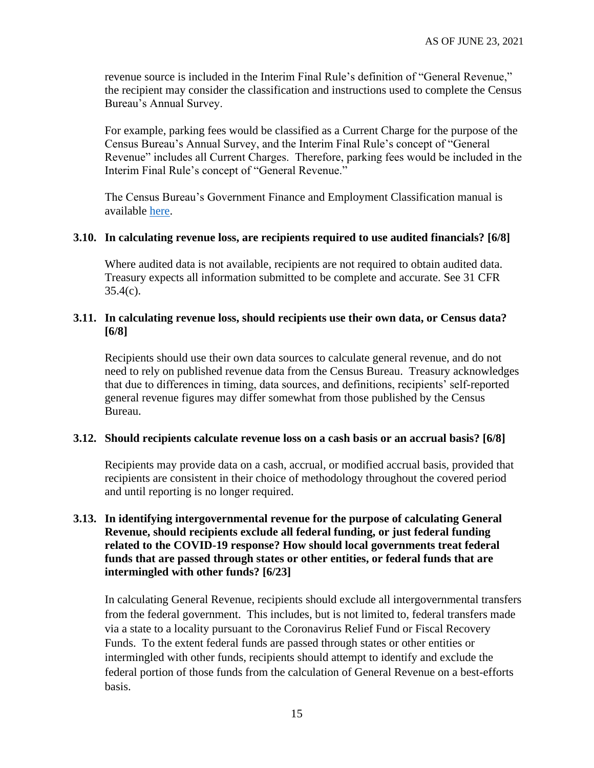revenue source is included in the Interim Final Rule's definition of "General Revenue," the recipient may consider the classification and instructions used to complete the Census Bureau's Annual Survey.

For example, parking fees would be classified as a Current Charge for the purpose of the Census Bureau's Annual Survey, and the Interim Final Rule's concept of "General Revenue" includes all Current Charges. Therefore, parking fees would be included in the Interim Final Rule's concept of "General Revenue."

The Census Bureau's Government Finance and Employment Classification manual is available [here.](https://www2.census.gov/govs/pubs/classification/2006_classification_manual.pdf.)

#### <span id="page-14-0"></span>**3.10. In calculating revenue loss, are recipients required to use audited financials? [6/8]**

Where audited data is not available, recipients are not required to obtain audited data. Treasury expects all information submitted to be complete and accurate. See 31 CFR  $35.4(c)$ .

#### <span id="page-14-1"></span>**3.11. In calculating revenue loss, should recipients use their own data, or Census data? [6/8]**

Recipients should use their own data sources to calculate general revenue, and do not need to rely on published revenue data from the Census Bureau. Treasury acknowledges that due to differences in timing, data sources, and definitions, recipients' self-reported general revenue figures may differ somewhat from those published by the Census Bureau.

#### <span id="page-14-2"></span>**3.12. Should recipients calculate revenue loss on a cash basis or an accrual basis? [6/8]**

Recipients may provide data on a cash, accrual, or modified accrual basis, provided that recipients are consistent in their choice of methodology throughout the covered period and until reporting is no longer required.

### <span id="page-14-3"></span>**3.13. In identifying intergovernmental revenue for the purpose of calculating General Revenue, should recipients exclude all federal funding, or just federal funding related to the COVID-19 response? How should local governments treat federal funds that are passed through states or other entities, or federal funds that are intermingled with other funds? [6/23]**

In calculating General Revenue, recipients should exclude all intergovernmental transfers from the federal government. This includes, but is not limited to, federal transfers made via a state to a locality pursuant to the Coronavirus Relief Fund or Fiscal Recovery Funds. To the extent federal funds are passed through states or other entities or intermingled with other funds, recipients should attempt to identify and exclude the federal portion of those funds from the calculation of General Revenue on a best-efforts basis.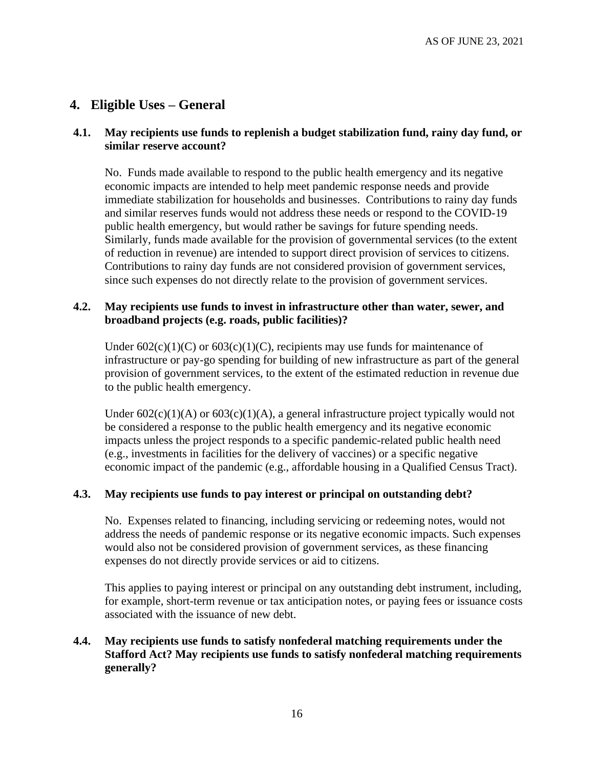## **4. Eligible Uses – General**

#### **4.1. May recipients use funds to replenish a budget stabilization fund, rainy day fund, or similar reserve account?**

No. Funds made available to respond to the public health emergency and its negative economic impacts are intended to help meet pandemic response needs and provide immediate stabilization for households and businesses. Contributions to rainy day funds and similar reserves funds would not address these needs or respond to the COVID-19 public health emergency, but would rather be savings for future spending needs. Similarly, funds made available for the provision of governmental services (to the extent of reduction in revenue) are intended to support direct provision of services to citizens. Contributions to rainy day funds are not considered provision of government services, since such expenses do not directly relate to the provision of government services.

#### **4.2. May recipients use funds to invest in infrastructure other than water, sewer, and broadband projects (e.g. roads, public facilities)?**

Under  $602(c)(1)(C)$  or  $603(c)(1)(C)$ , recipients may use funds for maintenance of infrastructure or pay-go spending for building of new infrastructure as part of the general provision of government services, to the extent of the estimated reduction in revenue due to the public health emergency.

Under  $602(c)(1)(A)$  or  $603(c)(1)(A)$ , a general infrastructure project typically would not be considered a response to the public health emergency and its negative economic impacts unless the project responds to a specific pandemic-related public health need (e.g., investments in facilities for the delivery of vaccines) or a specific negative economic impact of the pandemic (e.g., affordable housing in a Qualified Census Tract).

#### **4.3. May recipients use funds to pay interest or principal on outstanding debt?**

No. Expenses related to financing, including servicing or redeeming notes, would not address the needs of pandemic response or its negative economic impacts. Such expenses would also not be considered provision of government services, as these financing expenses do not directly provide services or aid to citizens.

This applies to paying interest or principal on any outstanding debt instrument, including, for example, short-term revenue or tax anticipation notes, or paying fees or issuance costs associated with the issuance of new debt.

## **4.4. May recipients use funds to satisfy nonfederal matching requirements under the Stafford Act? May recipients use funds to satisfy nonfederal matching requirements generally?**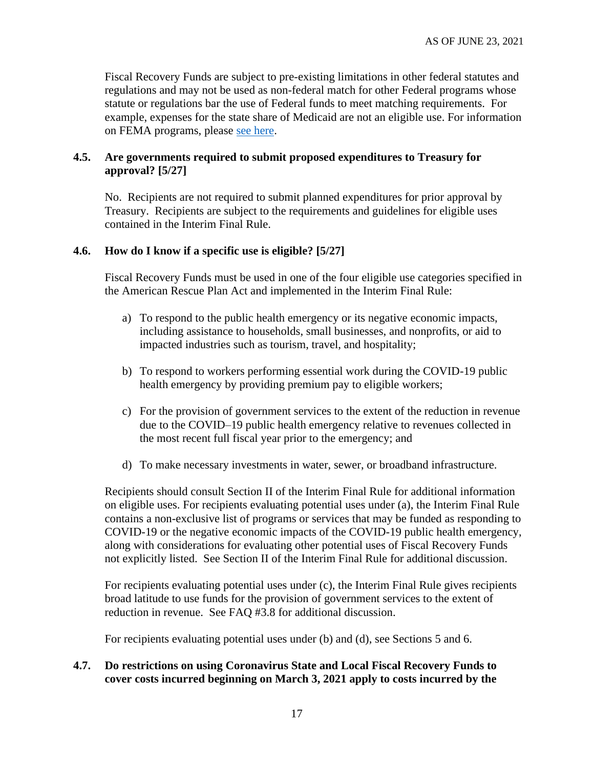Fiscal Recovery Funds are subject to pre-existing limitations in other federal statutes and regulations and may not be used as non-federal match for other Federal programs whose statute or regulations bar the use of Federal funds to meet matching requirements. For example, expenses for the state share of Medicaid are not an eligible use. For information on FEMA programs, please [see here.](https://www.fema.gov/press-release/20210203/fema-statement-100-cost-share)

### <span id="page-16-0"></span>**4.5. Are governments required to submit proposed expenditures to Treasury for approval? [5/27]**

No. Recipients are not required to submit planned expenditures for prior approval by Treasury. Recipients are subject to the requirements and guidelines for eligible uses contained in the Interim Final Rule.

### <span id="page-16-1"></span>**4.6. How do I know if a specific use is eligible? [5/27]**

Fiscal Recovery Funds must be used in one of the four eligible use categories specified in the American Rescue Plan Act and implemented in the Interim Final Rule:

- a) To respond to the public health emergency or its negative economic impacts, including assistance to households, small businesses, and nonprofits, or aid to impacted industries such as tourism, travel, and hospitality;
- b) To respond to workers performing essential work during the COVID-19 public health emergency by providing premium pay to eligible workers;
- c) For the provision of government services to the extent of the reduction in revenue due to the COVID–19 public health emergency relative to revenues collected in the most recent full fiscal year prior to the emergency; and
- d) To make necessary investments in water, sewer, or broadband infrastructure.

Recipients should consult Section II of the Interim Final Rule for additional information on eligible uses. For recipients evaluating potential uses under (a), the Interim Final Rule contains a non-exclusive list of programs or services that may be funded as responding to COVID-19 or the negative economic impacts of the COVID-19 public health emergency, along with considerations for evaluating other potential uses of Fiscal Recovery Funds not explicitly listed. See Section II of the Interim Final Rule for additional discussion.

For recipients evaluating potential uses under (c), the Interim Final Rule gives recipients broad latitude to use funds for the provision of government services to the extent of reduction in revenue. See FAQ [#3.8](#page-13-1) for additional discussion.

For recipients evaluating potential uses under (b) and (d), see Sections [5](#page-20-0) and [6.](#page-21-0)

### <span id="page-16-2"></span>**4.7. Do restrictions on using Coronavirus State and Local Fiscal Recovery Funds to cover costs incurred beginning on March 3, 2021 apply to costs incurred by the**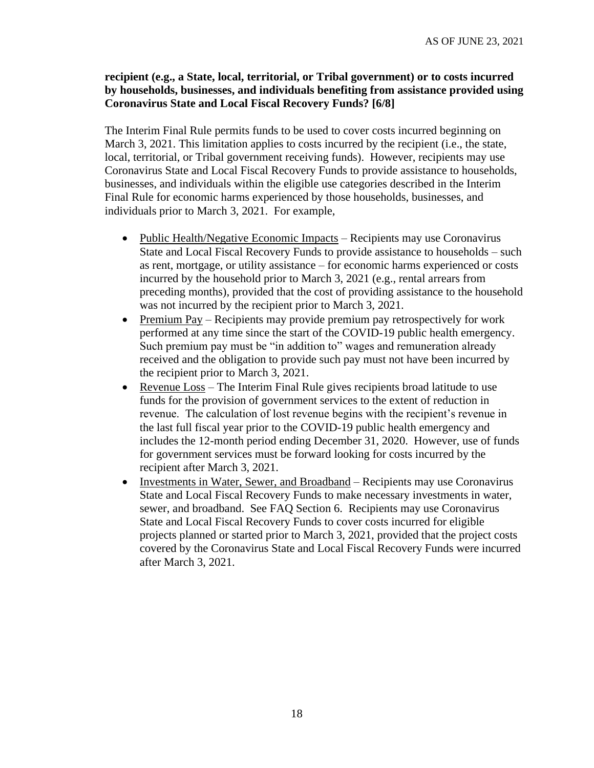#### **recipient (e.g., a State, local, territorial, or Tribal government) or to costs incurred by households, businesses, and individuals benefiting from assistance provided using Coronavirus State and Local Fiscal Recovery Funds? [6/8]**

The Interim Final Rule permits funds to be used to cover costs incurred beginning on March 3, 2021. This limitation applies to costs incurred by the recipient (i.e., the state, local, territorial, or Tribal government receiving funds). However, recipients may use Coronavirus State and Local Fiscal Recovery Funds to provide assistance to households, businesses, and individuals within the eligible use categories described in the Interim Final Rule for economic harms experienced by those households, businesses, and individuals prior to March 3, 2021. For example,

- Public Health/Negative Economic Impacts Recipients may use Coronavirus State and Local Fiscal Recovery Funds to provide assistance to households – such as rent, mortgage, or utility assistance – for economic harms experienced or costs incurred by the household prior to March 3, 2021 (e.g., rental arrears from preceding months), provided that the cost of providing assistance to the household was not incurred by the recipient prior to March 3, 2021.
- Premium Pay Recipients may provide premium pay retrospectively for work performed at any time since the start of the COVID-19 public health emergency. Such premium pay must be "in addition to" wages and remuneration already received and the obligation to provide such pay must not have been incurred by the recipient prior to March 3, 2021.
- Revenue Loss The Interim Final Rule gives recipients broad latitude to use funds for the provision of government services to the extent of reduction in revenue. The calculation of lost revenue begins with the recipient's revenue in the last full fiscal year prior to the COVID-19 public health emergency and includes the 12-month period ending December 31, 2020. However, use of funds for government services must be forward looking for costs incurred by the recipient after March 3, 2021.
- Investments in Water, Sewer, and Broadband Recipients may use Coronavirus State and Local Fiscal Recovery Funds to make necessary investments in water, sewer, and broadband. See FAQ Section [6.](#page-21-0) Recipients may use Coronavirus State and Local Fiscal Recovery Funds to cover costs incurred for eligible projects planned or started prior to March 3, 2021, provided that the project costs covered by the Coronavirus State and Local Fiscal Recovery Funds were incurred after March 3, 2021.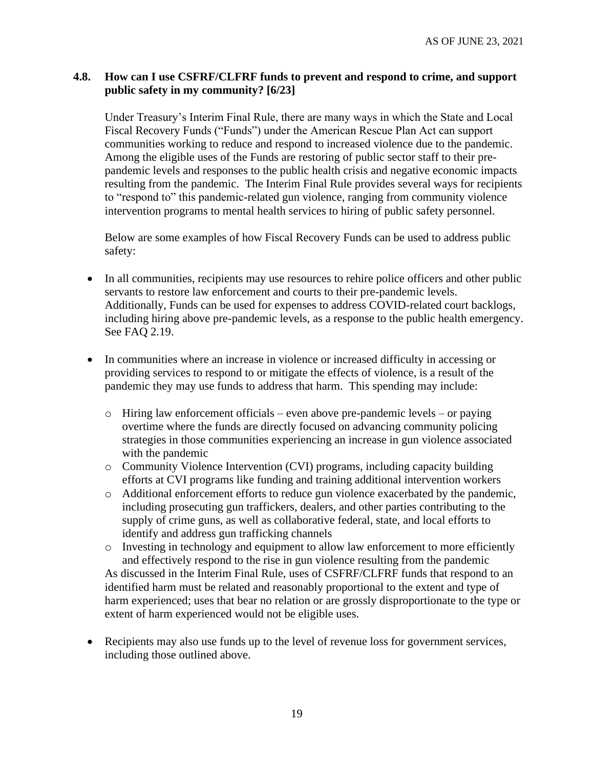#### <span id="page-18-0"></span>**4.8. How can I use CSFRF/CLFRF funds to prevent and respond to crime, and support public safety in my community? [6/23]**

Under Treasury's Interim Final Rule, there are many ways in which the State and Local Fiscal Recovery Funds ("Funds") under the American Rescue Plan Act can support communities working to reduce and respond to increased violence due to the pandemic. Among the eligible uses of the Funds are restoring of public sector staff to their prepandemic levels and responses to the public health crisis and negative economic impacts resulting from the pandemic. The Interim Final Rule provides several ways for recipients to "respond to" this pandemic-related gun violence, ranging from community violence intervention programs to mental health services to hiring of public safety personnel.

Below are some examples of how Fiscal Recovery Funds can be used to address public safety:

- In all communities, recipients may use resources to rehire police officers and other public servants to restore law enforcement and courts to their pre-pandemic levels. Additionally, Funds can be used for expenses to address COVID-related court backlogs, including hiring above pre-pandemic levels, as a response to the public health emergency. See FAQ [2.19.](#page-10-0)
- In communities where an increase in violence or increased difficulty in accessing or providing services to respond to or mitigate the effects of violence, is a result of the pandemic they may use funds to address that harm. This spending may include:
	- o Hiring law enforcement officials even above pre-pandemic levels or paying overtime where the funds are directly focused on advancing community policing strategies in those communities experiencing an increase in gun violence associated with the pandemic
	- o Community Violence Intervention (CVI) programs, including capacity building efforts at CVI programs like funding and training additional intervention workers
	- o Additional enforcement efforts to reduce gun violence exacerbated by the pandemic, including prosecuting gun traffickers, dealers, and other parties contributing to the supply of crime guns, as well as collaborative federal, state, and local efforts to identify and address gun trafficking channels
	- o Investing in technology and equipment to allow law enforcement to more efficiently and effectively respond to the rise in gun violence resulting from the pandemic As discussed in the Interim Final Rule, uses of CSFRF/CLFRF funds that respond to an identified harm must be related and reasonably proportional to the extent and type of harm experienced; uses that bear no relation or are grossly disproportionate to the type or extent of harm experienced would not be eligible uses.
- Recipients may also use funds up to the level of revenue loss for government services, including those outlined above.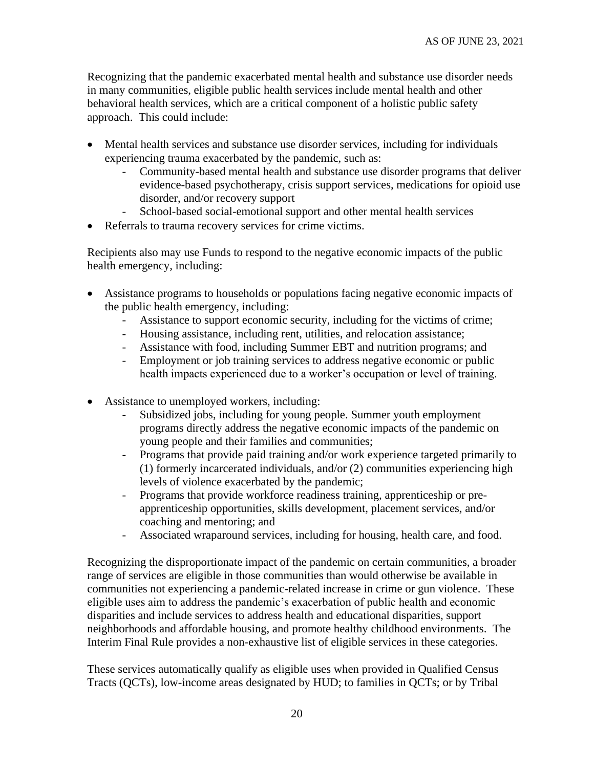Recognizing that the pandemic exacerbated mental health and substance use disorder needs in many communities, eligible public health services include mental health and other behavioral health services, which are a critical component of a holistic public safety approach. This could include:

- Mental health services and substance use disorder services, including for individuals experiencing trauma exacerbated by the pandemic, such as:
	- Community-based mental health and substance use disorder programs that deliver evidence-based psychotherapy, crisis support services, medications for opioid use disorder, and/or recovery support
	- School-based social-emotional support and other mental health services
- Referrals to trauma recovery services for crime victims.

Recipients also may use Funds to respond to the negative economic impacts of the public health emergency, including:

- Assistance programs to households or populations facing negative economic impacts of the public health emergency, including:
	- Assistance to support economic security, including for the victims of crime;
	- Housing assistance, including rent, utilities, and relocation assistance;
	- Assistance with food, including Summer EBT and nutrition programs; and
	- Employment or job training services to address negative economic or public health impacts experienced due to a worker's occupation or level of training.
- Assistance to unemployed workers, including:
	- Subsidized jobs, including for young people. Summer youth employment programs directly address the negative economic impacts of the pandemic on young people and their families and communities;
	- Programs that provide paid training and/or work experience targeted primarily to (1) formerly incarcerated individuals, and/or (2) communities experiencing high levels of violence exacerbated by the pandemic;
	- Programs that provide workforce readiness training, apprenticeship or preapprenticeship opportunities, skills development, placement services, and/or coaching and mentoring; and
	- Associated wraparound services, including for housing, health care, and food.

Recognizing the disproportionate impact of the pandemic on certain communities, a broader range of services are eligible in those communities than would otherwise be available in communities not experiencing a pandemic-related increase in crime or gun violence. These eligible uses aim to address the pandemic's exacerbation of public health and economic disparities and include services to address health and educational disparities, support neighborhoods and affordable housing, and promote healthy childhood environments. The Interim Final Rule provides a non-exhaustive list of eligible services in these categories.

These services automatically qualify as eligible uses when provided in Qualified Census Tracts (QCTs), low-income areas designated by HUD; to families in QCTs; or by Tribal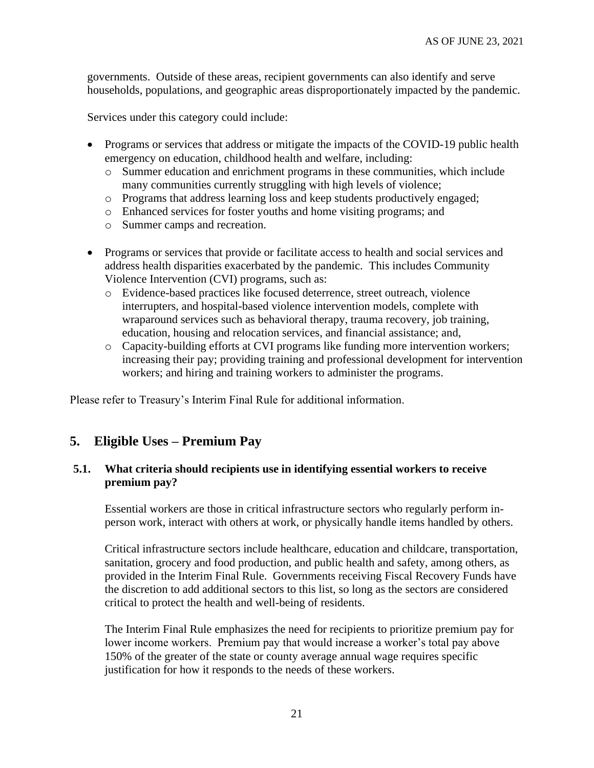governments. Outside of these areas, recipient governments can also identify and serve households, populations, and geographic areas disproportionately impacted by the pandemic.

Services under this category could include:

- Programs or services that address or mitigate the impacts of the COVID-19 public health emergency on education, childhood health and welfare, including:
	- o Summer education and enrichment programs in these communities, which include many communities currently struggling with high levels of violence;
	- o Programs that address learning loss and keep students productively engaged;
	- o Enhanced services for foster youths and home visiting programs; and
	- o Summer camps and recreation.
- Programs or services that provide or facilitate access to health and social services and address health disparities exacerbated by the pandemic. This includes Community Violence Intervention (CVI) programs, such as:
	- o Evidence-based practices like focused deterrence, street outreach, violence interrupters, and hospital-based violence intervention models, complete with wraparound services such as behavioral therapy, trauma recovery, job training, education, housing and relocation services, and financial assistance; and,
	- o Capacity-building efforts at CVI programs like funding more intervention workers; increasing their pay; providing training and professional development for intervention workers; and hiring and training workers to administer the programs.

Please refer to Treasury's Interim Final Rule for additional information.

#### <span id="page-20-0"></span>**5. Eligible Uses – Premium Pay**

#### **5.1. What criteria should recipients use in identifying essential workers to receive premium pay?**

Essential workers are those in critical infrastructure sectors who regularly perform inperson work, interact with others at work, or physically handle items handled by others.

Critical infrastructure sectors include healthcare, education and childcare, transportation, sanitation, grocery and food production, and public health and safety, among others, as provided in the Interim Final Rule. Governments receiving Fiscal Recovery Funds have the discretion to add additional sectors to this list, so long as the sectors are considered critical to protect the health and well-being of residents.

The Interim Final Rule emphasizes the need for recipients to prioritize premium pay for lower income workers. Premium pay that would increase a worker's total pay above 150% of the greater of the state or county average annual wage requires specific justification for how it responds to the needs of these workers.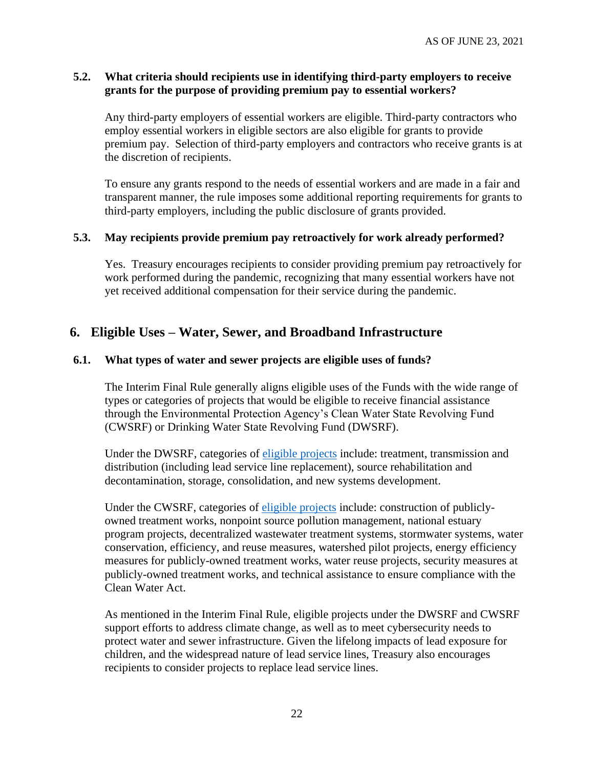#### **5.2. What criteria should recipients use in identifying third-party employers to receive grants for the purpose of providing premium pay to essential workers?**

Any third-party employers of essential workers are eligible. Third-party contractors who employ essential workers in eligible sectors are also eligible for grants to provide premium pay. Selection of third-party employers and contractors who receive grants is at the discretion of recipients.

To ensure any grants respond to the needs of essential workers and are made in a fair and transparent manner, the rule imposes some additional reporting requirements for grants to third-party employers, including the public disclosure of grants provided.

#### **5.3. May recipients provide premium pay retroactively for work already performed?**

Yes. Treasury encourages recipients to consider providing premium pay retroactively for work performed during the pandemic, recognizing that many essential workers have not yet received additional compensation for their service during the pandemic.

## <span id="page-21-0"></span>**6. Eligible Uses – Water, Sewer, and Broadband Infrastructure**

#### **6.1. What types of water and sewer projects are eligible uses of funds?**

The Interim Final Rule generally aligns eligible uses of the Funds with the wide range of types or categories of projects that would be eligible to receive financial assistance through the Environmental Protection Agency's Clean Water State Revolving Fund (CWSRF) or Drinking Water State Revolving Fund (DWSRF).

Under the DWSRF, categories of [eligible projects](https://www.epa.gov/sites/production/files/2019-10/documents/dwsrf_eligibility_handbook_june_13_2017_updated_508_versioni.pdf) include: treatment, transmission and distribution (including lead service line replacement), source rehabilitation and decontamination, storage, consolidation, and new systems development.

Under the CWSRF, categories of [eligible projects](https://www.epa.gov/sites/production/files/2016-07/documents/overview_of_cwsrf_eligibilities_may_2016.pdf) include: construction of publiclyowned treatment works, nonpoint source pollution management, national estuary program projects, decentralized wastewater treatment systems, stormwater systems, water conservation, efficiency, and reuse measures, watershed pilot projects, energy efficiency measures for publicly-owned treatment works, water reuse projects, security measures at publicly-owned treatment works, and technical assistance to ensure compliance with the Clean Water Act.

As mentioned in the Interim Final Rule, eligible projects under the DWSRF and CWSRF support efforts to address climate change, as well as to meet cybersecurity needs to protect water and sewer infrastructure. Given the lifelong impacts of lead exposure for children, and the widespread nature of lead service lines, Treasury also encourages recipients to consider projects to replace lead service lines.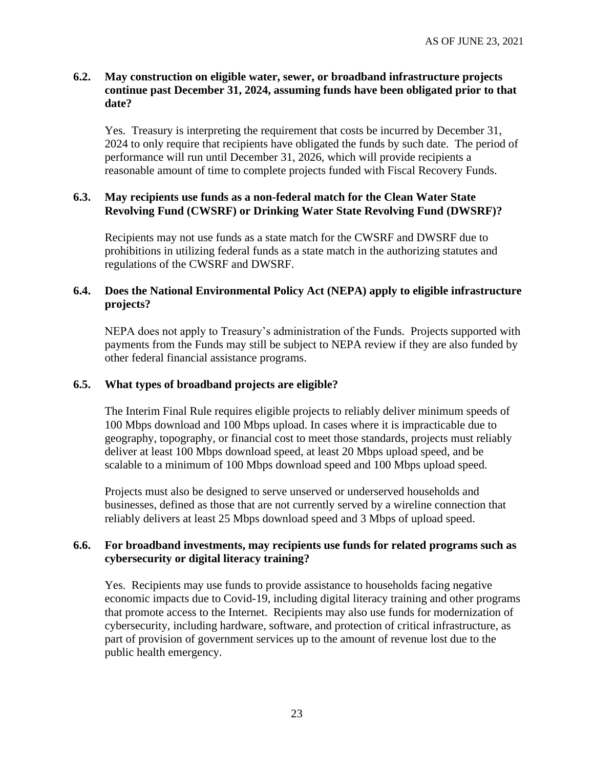#### **6.2. May construction on eligible water, sewer, or broadband infrastructure projects continue past December 31, 2024, assuming funds have been obligated prior to that date?**

Yes. Treasury is interpreting the requirement that costs be incurred by December 31, 2024 to only require that recipients have obligated the funds by such date. The period of performance will run until December 31, 2026, which will provide recipients a reasonable amount of time to complete projects funded with Fiscal Recovery Funds.

#### **6.3. May recipients use funds as a non-federal match for the Clean Water State Revolving Fund (CWSRF) or Drinking Water State Revolving Fund (DWSRF)?**

Recipients may not use funds as a state match for the CWSRF and DWSRF due to prohibitions in utilizing federal funds as a state match in the authorizing statutes and regulations of the CWSRF and DWSRF.

### **6.4. Does the National Environmental Policy Act (NEPA) apply to eligible infrastructure projects?**

NEPA does not apply to Treasury's administration of the Funds. Projects supported with payments from the Funds may still be subject to NEPA review if they are also funded by other federal financial assistance programs.

#### **6.5. What types of broadband projects are eligible?**

The Interim Final Rule requires eligible projects to reliably deliver minimum speeds of 100 Mbps download and 100 Mbps upload. In cases where it is impracticable due to geography, topography, or financial cost to meet those standards, projects must reliably deliver at least 100 Mbps download speed, at least 20 Mbps upload speed, and be scalable to a minimum of 100 Mbps download speed and 100 Mbps upload speed.

Projects must also be designed to serve unserved or underserved households and businesses, defined as those that are not currently served by a wireline connection that reliably delivers at least 25 Mbps download speed and 3 Mbps of upload speed.

#### **6.6. For broadband investments, may recipients use funds for related programs such as cybersecurity or digital literacy training?**

Yes. Recipients may use funds to provide assistance to households facing negative economic impacts due to Covid-19, including digital literacy training and other programs that promote access to the Internet. Recipients may also use funds for modernization of cybersecurity, including hardware, software, and protection of critical infrastructure, as part of provision of government services up to the amount of revenue lost due to the public health emergency.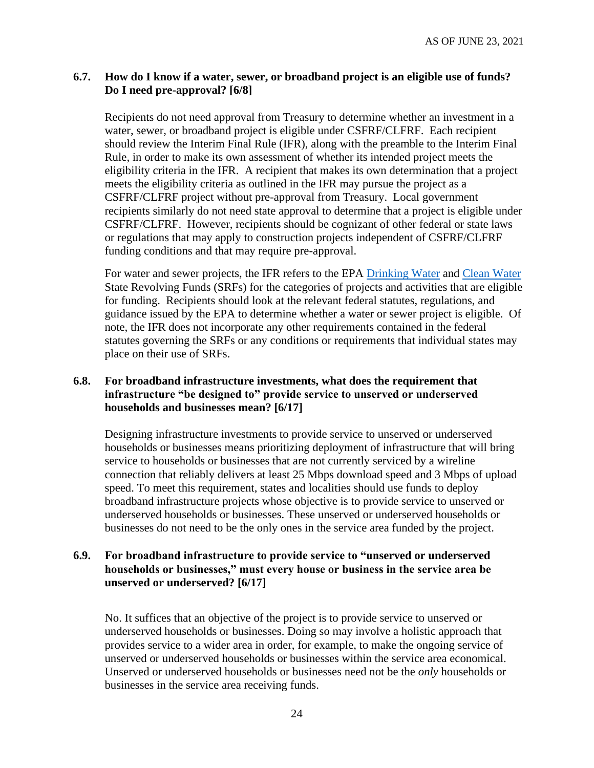#### <span id="page-23-0"></span>**6.7. How do I know if a water, sewer, or broadband project is an eligible use of funds? Do I need pre-approval? [6/8]**

Recipients do not need approval from Treasury to determine whether an investment in a water, sewer, or broadband project is eligible under CSFRF/CLFRF. Each recipient should review the Interim Final Rule (IFR), along with the preamble to the Interim Final Rule, in order to make its own assessment of whether its intended project meets the eligibility criteria in the IFR. A recipient that makes its own determination that a project meets the eligibility criteria as outlined in the IFR may pursue the project as a CSFRF/CLFRF project without pre-approval from Treasury. Local government recipients similarly do not need state approval to determine that a project is eligible under CSFRF/CLFRF. However, recipients should be cognizant of other federal or state laws or regulations that may apply to construction projects independent of CSFRF/CLFRF funding conditions and that may require pre-approval.

For water and sewer projects, the IFR refers to the EPA [Drinking Water](https://www.epa.gov/sites/production/files/2019-10/documents/dwsrf_eligibility_handbook_june_13_2017_updated_508_versioni.pdf) and [Clean Water](https://www.epa.gov/sites/production/files/2016-07/documents/overview_of_cwsrf_eligibilities_may_2016.pdf) State Revolving Funds (SRFs) for the categories of projects and activities that are eligible for funding. Recipients should look at the relevant federal statutes, regulations, and guidance issued by the EPA to determine whether a water or sewer project is eligible. Of note, the IFR does not incorporate any other requirements contained in the federal statutes governing the SRFs or any conditions or requirements that individual states may place on their use of SRFs.

### <span id="page-23-1"></span>**6.8. For broadband infrastructure investments, what does the requirement that infrastructure "be designed to" provide service to unserved or underserved households and businesses mean? [6/17]**

Designing infrastructure investments to provide service to unserved or underserved households or businesses means prioritizing deployment of infrastructure that will bring service to households or businesses that are not currently serviced by a wireline connection that reliably delivers at least 25 Mbps download speed and 3 Mbps of upload speed. To meet this requirement, states and localities should use funds to deploy broadband infrastructure projects whose objective is to provide service to unserved or underserved households or businesses. These unserved or underserved households or businesses do not need to be the only ones in the service area funded by the project.

### <span id="page-23-2"></span>**6.9. For broadband infrastructure to provide service to "unserved or underserved households or businesses," must every house or business in the service area be unserved or underserved? [6/17]**

No. It suffices that an objective of the project is to provide service to unserved or underserved households or businesses. Doing so may involve a holistic approach that provides service to a wider area in order, for example, to make the ongoing service of unserved or underserved households or businesses within the service area economical. Unserved or underserved households or businesses need not be the *only* households or businesses in the service area receiving funds.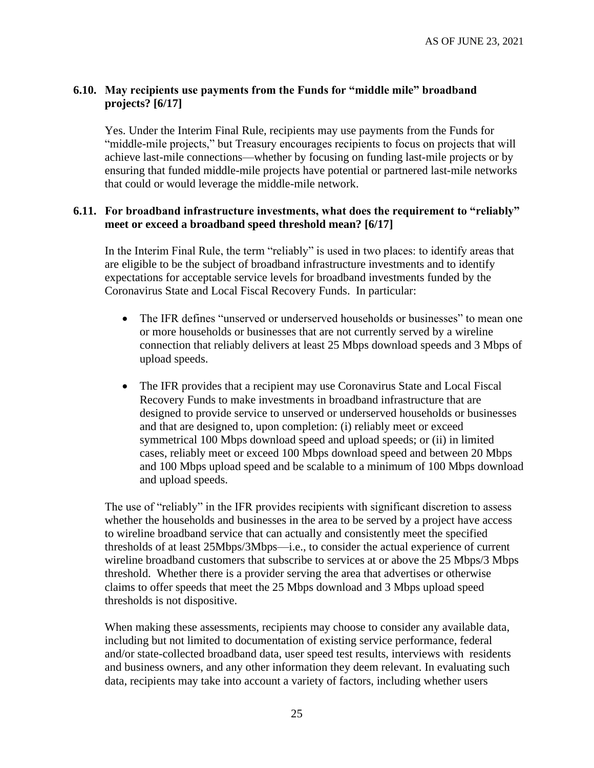## <span id="page-24-0"></span>**6.10. May recipients use payments from the Funds for "middle mile" broadband projects? [6/17]**

Yes. Under the Interim Final Rule, recipients may use payments from the Funds for "middle-mile projects," but Treasury encourages recipients to focus on projects that will achieve last-mile connections—whether by focusing on funding last-mile projects or by ensuring that funded middle-mile projects have potential or partnered last-mile networks that could or would leverage the middle-mile network.

#### <span id="page-24-1"></span>**6.11. For broadband infrastructure investments, what does the requirement to "reliably" meet or exceed a broadband speed threshold mean? [6/17]**

In the Interim Final Rule, the term "reliably" is used in two places: to identify areas that are eligible to be the subject of broadband infrastructure investments and to identify expectations for acceptable service levels for broadband investments funded by the Coronavirus State and Local Fiscal Recovery Funds. In particular:

- The IFR defines "unserved or underserved households or businesses" to mean one or more households or businesses that are not currently served by a wireline connection that reliably delivers at least 25 Mbps download speeds and 3 Mbps of upload speeds.
- The IFR provides that a recipient may use Coronavirus State and Local Fiscal Recovery Funds to make investments in broadband infrastructure that are designed to provide service to unserved or underserved households or businesses and that are designed to, upon completion: (i) reliably meet or exceed symmetrical 100 Mbps download speed and upload speeds; or (ii) in limited cases, reliably meet or exceed 100 Mbps download speed and between 20 Mbps and 100 Mbps upload speed and be scalable to a minimum of 100 Mbps download and upload speeds.

The use of "reliably" in the IFR provides recipients with significant discretion to assess whether the households and businesses in the area to be served by a project have access to wireline broadband service that can actually and consistently meet the specified thresholds of at least 25Mbps/3Mbps—i.e., to consider the actual experience of current wireline broadband customers that subscribe to services at or above the 25 Mbps/3 Mbps threshold. Whether there is a provider serving the area that advertises or otherwise claims to offer speeds that meet the 25 Mbps download and 3 Mbps upload speed thresholds is not dispositive.

When making these assessments, recipients may choose to consider any available data, including but not limited to documentation of existing service performance, federal and/or state-collected broadband data, user speed test results, interviews with residents and business owners, and any other information they deem relevant. In evaluating such data, recipients may take into account a variety of factors, including whether users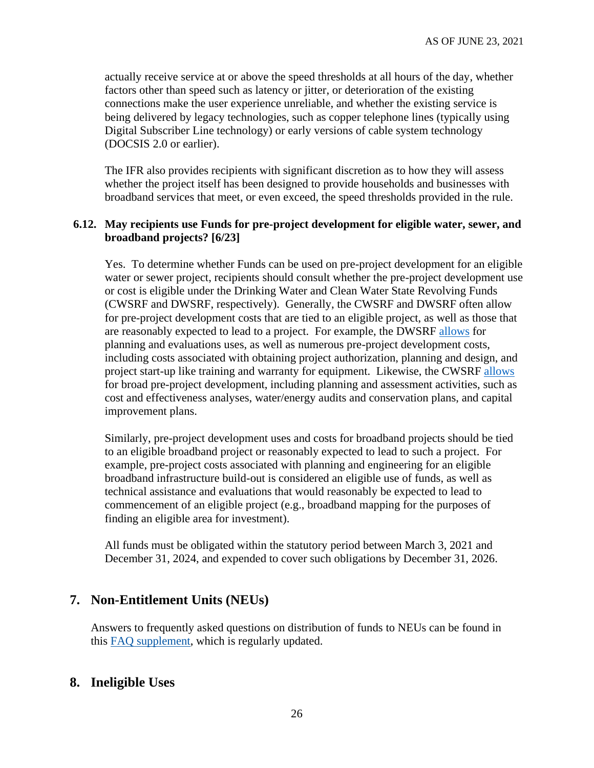actually receive service at or above the speed thresholds at all hours of the day, whether factors other than speed such as latency or jitter, or deterioration of the existing connections make the user experience unreliable, and whether the existing service is being delivered by legacy technologies, such as copper telephone lines (typically using Digital Subscriber Line technology) or early versions of cable system technology (DOCSIS 2.0 or earlier).

The IFR also provides recipients with significant discretion as to how they will assess whether the project itself has been designed to provide households and businesses with broadband services that meet, or even exceed, the speed thresholds provided in the rule.

### <span id="page-25-0"></span>**6.12. May recipients use Funds for pre-project development for eligible water, sewer, and broadband projects? [6/23]**

Yes. To determine whether Funds can be used on pre-project development for an eligible water or sewer project, recipients should consult whether the pre-project development use or cost is eligible under the Drinking Water and Clean Water State Revolving Funds (CWSRF and DWSRF, respectively). Generally, the CWSRF and DWSRF often allow for pre-project development costs that are tied to an eligible project, as well as those that are reasonably expected to lead to a project. For example, the DWSRF [allows](https://www.epa.gov/sites/production/files/2017-06/documents/dwsrf_eligibility_handbook_june_13_2017_updated_508_version.pdf) for planning and evaluations uses, as well as numerous pre-project development costs, including costs associated with obtaining project authorization, planning and design, and project start-up like training and warranty for equipment. Likewise, the CWSRF [allows](https://www.epa.gov/sites/production/files/2016-07/documents/overview_of_cwsrf_eligibilities_may_2016.pdf) for broad pre-project development, including planning and assessment activities, such as cost and effectiveness analyses, water/energy audits and conservation plans, and capital improvement plans.

Similarly, pre-project development uses and costs for broadband projects should be tied to an eligible broadband project or reasonably expected to lead to such a project. For example, pre-project costs associated with planning and engineering for an eligible broadband infrastructure build-out is considered an eligible use of funds, as well as technical assistance and evaluations that would reasonably be expected to lead to commencement of an eligible project (e.g., broadband mapping for the purposes of finding an eligible area for investment).

All funds must be obligated within the statutory period between March 3, 2021 and December 31, 2024, and expended to cover such obligations by December 31, 2026.

## **7. Non-Entitlement Units (NEUs)**

Answers to frequently asked questions on distribution of funds to NEUs can be found in this [FAQ supplement,](https://home.treasury.gov/system/files/136/NEU-FAQs.pdf) which is regularly updated.

## **8. Ineligible Uses**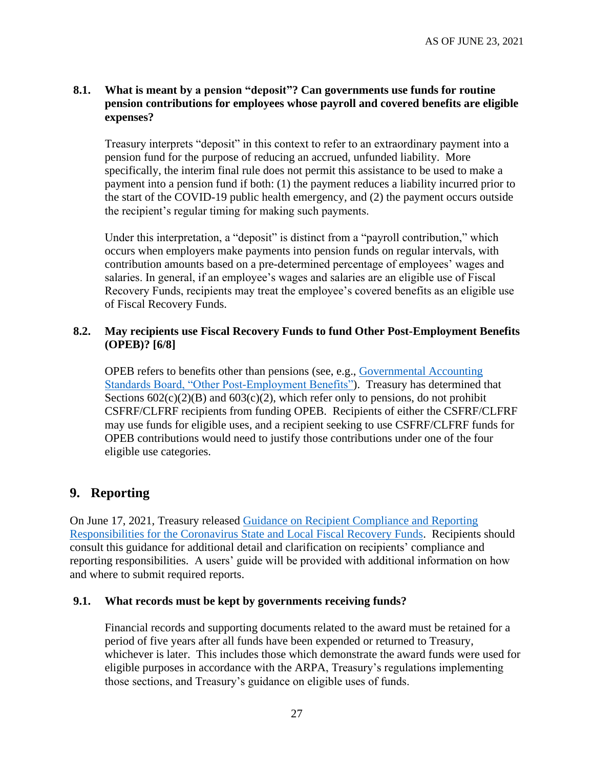### **8.1. What is meant by a pension "deposit"? Can governments use funds for routine pension contributions for employees whose payroll and covered benefits are eligible expenses?**

Treasury interprets "deposit" in this context to refer to an extraordinary payment into a pension fund for the purpose of reducing an accrued, unfunded liability. More specifically, the interim final rule does not permit this assistance to be used to make a payment into a pension fund if both: (1) the payment reduces a liability incurred prior to the start of the COVID-19 public health emergency, and (2) the payment occurs outside the recipient's regular timing for making such payments.

Under this interpretation, a "deposit" is distinct from a "payroll contribution," which occurs when employers make payments into pension funds on regular intervals, with contribution amounts based on a pre-determined percentage of employees' wages and salaries. In general, if an employee's wages and salaries are an eligible use of Fiscal Recovery Funds, recipients may treat the employee's covered benefits as an eligible use of Fiscal Recovery Funds.

#### <span id="page-26-0"></span>**8.2. May recipients use Fiscal Recovery Funds to fund Other Post-Employment Benefits (OPEB)? [6/8]**

OPEB refers to benefits other than pensions (see, e.g., [Governmental Accounting](https://www.gasb.org/jsp/GASB/Page/GASBBridgePage&cid=1176164129754)  [Standards Board, "Other Post-Employment Benefits"\)](https://www.gasb.org/jsp/GASB/Page/GASBBridgePage&cid=1176164129754). Treasury has determined that Sections  $602(c)(2)(B)$  and  $603(c)(2)$ , which refer only to pensions, do not prohibit CSFRF/CLFRF recipients from funding OPEB. Recipients of either the CSFRF/CLFRF may use funds for eligible uses, and a recipient seeking to use CSFRF/CLFRF funds for OPEB contributions would need to justify those contributions under one of the four eligible use categories.

## **9. Reporting**

On June 17, 2021, Treasury released [Guidance on Recipient Compliance and Reporting](https://home.treasury.gov/system/files/136/SLFRF-Compliance-and-Reporting-Guidance.pdf)  [Responsibilities for the Coronavirus State and Local Fiscal Recovery Funds.](https://home.treasury.gov/system/files/136/SLFRF-Compliance-and-Reporting-Guidance.pdf) Recipients should consult this guidance for additional detail and clarification on recipients' compliance and reporting responsibilities. A users' guide will be provided with additional information on how and where to submit required reports.

#### **9.1. What records must be kept by governments receiving funds?**

Financial records and supporting documents related to the award must be retained for a period of five years after all funds have been expended or returned to Treasury, whichever is later. This includes those which demonstrate the award funds were used for eligible purposes in accordance with the ARPA, Treasury's regulations implementing those sections, and Treasury's guidance on eligible uses of funds.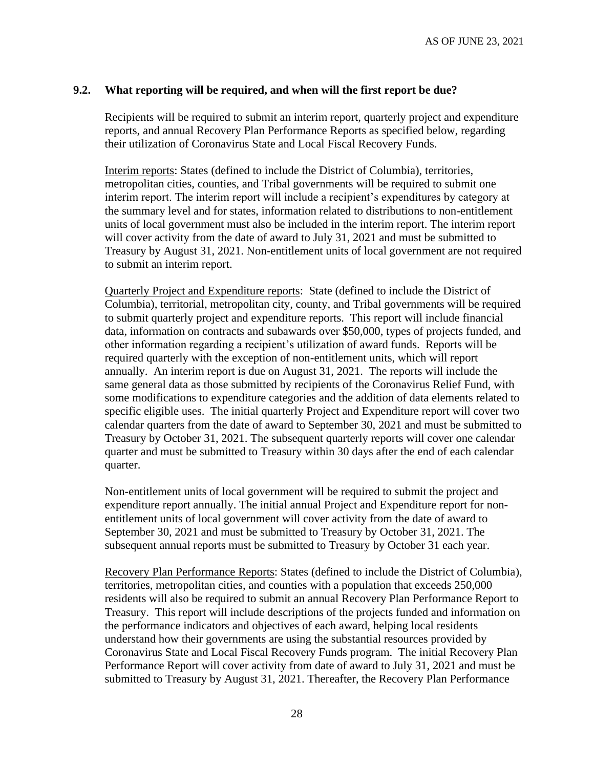#### **9.2. What reporting will be required, and when will the first report be due?**

Recipients will be required to submit an interim report, quarterly project and expenditure reports, and annual Recovery Plan Performance Reports as specified below, regarding their utilization of Coronavirus State and Local Fiscal Recovery Funds.

Interim reports: States (defined to include the District of Columbia), territories, metropolitan cities, counties, and Tribal governments will be required to submit one interim report. The interim report will include a recipient's expenditures by category at the summary level and for states, information related to distributions to non-entitlement units of local government must also be included in the interim report. The interim report will cover activity from the date of award to July 31, 2021 and must be submitted to Treasury by August 31, 2021. Non-entitlement units of local government are not required to submit an interim report.

Quarterly Project and Expenditure reports: State (defined to include the District of Columbia), territorial, metropolitan city, county, and Tribal governments will be required to submit quarterly project and expenditure reports. This report will include financial data, information on contracts and subawards over \$50,000, types of projects funded, and other information regarding a recipient's utilization of award funds. Reports will be required quarterly with the exception of non-entitlement units, which will report annually. An interim report is due on August 31, 2021. The reports will include the same general data as those submitted by recipients of the Coronavirus Relief Fund, with some modifications to expenditure categories and the addition of data elements related to specific eligible uses. The initial quarterly Project and Expenditure report will cover two calendar quarters from the date of award to September 30, 2021 and must be submitted to Treasury by October 31, 2021. The subsequent quarterly reports will cover one calendar quarter and must be submitted to Treasury within 30 days after the end of each calendar quarter.

Non-entitlement units of local government will be required to submit the project and expenditure report annually. The initial annual Project and Expenditure report for nonentitlement units of local government will cover activity from the date of award to September 30, 2021 and must be submitted to Treasury by October 31, 2021. The subsequent annual reports must be submitted to Treasury by October 31 each year.

Recovery Plan Performance Reports: States (defined to include the District of Columbia), territories, metropolitan cities, and counties with a population that exceeds 250,000 residents will also be required to submit an annual Recovery Plan Performance Report to Treasury. This report will include descriptions of the projects funded and information on the performance indicators and objectives of each award, helping local residents understand how their governments are using the substantial resources provided by Coronavirus State and Local Fiscal Recovery Funds program. The initial Recovery Plan Performance Report will cover activity from date of award to July 31, 2021 and must be submitted to Treasury by August 31, 2021. Thereafter, the Recovery Plan Performance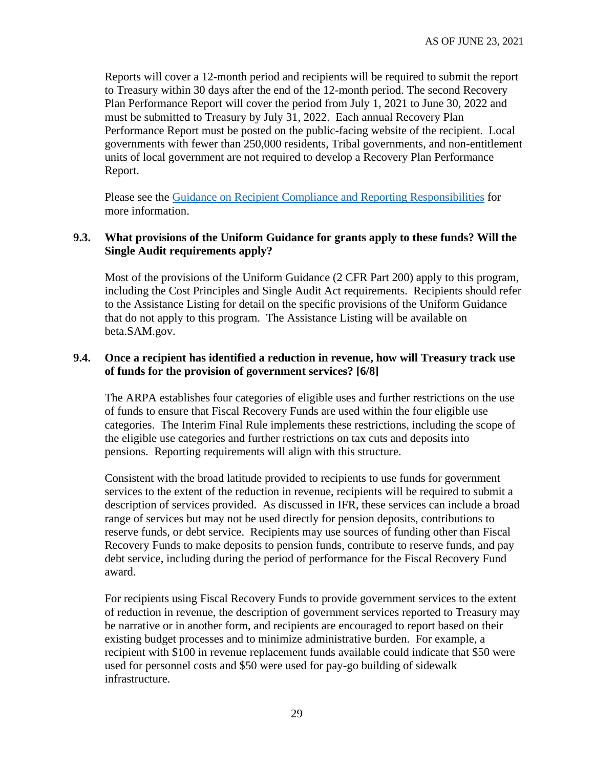Reports will cover a 12-month period and recipients will be required to submit the report to Treasury within 30 days after the end of the 12-month period. The second Recovery Plan Performance Report will cover the period from July 1, 2021 to June 30, 2022 and must be submitted to Treasury by July 31, 2022. Each annual Recovery Plan Performance Report must be posted on the public-facing website of the recipient. Local governments with fewer than 250,000 residents, Tribal governments, and non-entitlement units of local government are not required to develop a Recovery Plan Performance Report.

Please see the [Guidance on Recipient Compliance and Reporting Responsibilities](https://home.treasury.gov/system/files/136/SLFRF-Compliance-and-Reporting-Guidance.pdf) for more information.

#### **9.3. What provisions of the Uniform Guidance for grants apply to these funds? Will the Single Audit requirements apply?**

Most of the provisions of the Uniform Guidance (2 CFR Part 200) apply to this program, including the Cost Principles and Single Audit Act requirements. Recipients should refer to the Assistance Listing for detail on the specific provisions of the Uniform Guidance that do not apply to this program. The Assistance Listing will be available on beta.SAM.gov.

### <span id="page-28-0"></span>**9.4. Once a recipient has identified a reduction in revenue, how will Treasury track use of funds for the provision of government services? [6/8]**

The ARPA establishes four categories of eligible uses and further restrictions on the use of funds to ensure that Fiscal Recovery Funds are used within the four eligible use categories. The Interim Final Rule implements these restrictions, including the scope of the eligible use categories and further restrictions on tax cuts and deposits into pensions. Reporting requirements will align with this structure.

Consistent with the broad latitude provided to recipients to use funds for government services to the extent of the reduction in revenue, recipients will be required to submit a description of services provided. As discussed in IFR, these services can include a broad range of services but may not be used directly for pension deposits, contributions to reserve funds, or debt service. Recipients may use sources of funding other than Fiscal Recovery Funds to make deposits to pension funds, contribute to reserve funds, and pay debt service, including during the period of performance for the Fiscal Recovery Fund award.

For recipients using Fiscal Recovery Funds to provide government services to the extent of reduction in revenue, the description of government services reported to Treasury may be narrative or in another form, and recipients are encouraged to report based on their existing budget processes and to minimize administrative burden. For example, a recipient with \$100 in revenue replacement funds available could indicate that \$50 were used for personnel costs and \$50 were used for pay-go building of sidewalk infrastructure.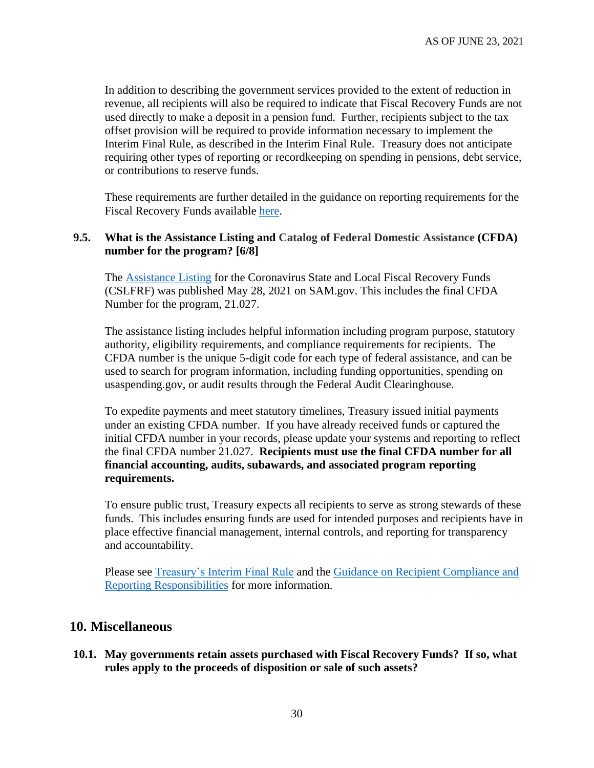In addition to describing the government services provided to the extent of reduction in revenue, all recipients will also be required to indicate that Fiscal Recovery Funds are not used directly to make a deposit in a pension fund. Further, recipients subject to the tax offset provision will be required to provide information necessary to implement the Interim Final Rule, as described in the Interim Final Rule. Treasury does not anticipate requiring other types of reporting or recordkeeping on spending in pensions, debt service, or contributions to reserve funds.

These requirements are further detailed in the guidance on reporting requirements for the Fiscal Recovery Funds available [here.](https://home.treasury.gov/system/files/136/SLFRF-Compliance-and-Reporting-Guidance.pdf)

#### <span id="page-29-0"></span>**9.5. What is the Assistance Listing and Catalog of Federal Domestic Assistance (CFDA) number for the program? [6/8]**

The [Assistance Listing](https://sam.gov/fal/7cecfdef62dc42729a3fdcd449bd62b8/view) for the Coronavirus State and Local Fiscal Recovery Funds (CSLFRF) was published May 28, 2021 on SAM.gov. This includes the final CFDA Number for the program, 21.027.

The assistance listing includes helpful information including program purpose, statutory authority, eligibility requirements, and compliance requirements for recipients. The CFDA number is the unique 5-digit code for each type of federal assistance, and can be used to search for program information, including funding opportunities, spending on usaspending.gov, or audit results through the Federal Audit Clearinghouse.

To expedite payments and meet statutory timelines, Treasury issued initial payments under an existing CFDA number. If you have already received funds or captured the initial CFDA number in your records, please update your systems and reporting to reflect the final CFDA number 21.027. **Recipients must use the final CFDA number for all financial accounting, audits, subawards, and associated program reporting requirements.**

To ensure public trust, Treasury expects all recipients to serve as strong stewards of these funds. This includes ensuring funds are used for intended purposes and recipients have in place effective financial management, internal controls, and reporting for transparency and accountability.

Please see [Treasury's Interim Final Rule](https://www.govinfo.gov/content/pkg/FR-2021-05-17/pdf/2021-10283.pdf) and the [Guidance on Recipient Compliance](https://home.treasury.gov/system/files/136/SLFRF-Compliance-and-Reporting-Guidance.pdf) and [Reporting Responsibilities](https://home.treasury.gov/system/files/136/SLFRF-Compliance-and-Reporting-Guidance.pdf) for more information.

### **10. Miscellaneous**

**10.1. May governments retain assets purchased with Fiscal Recovery Funds? If so, what rules apply to the proceeds of disposition or sale of such assets?**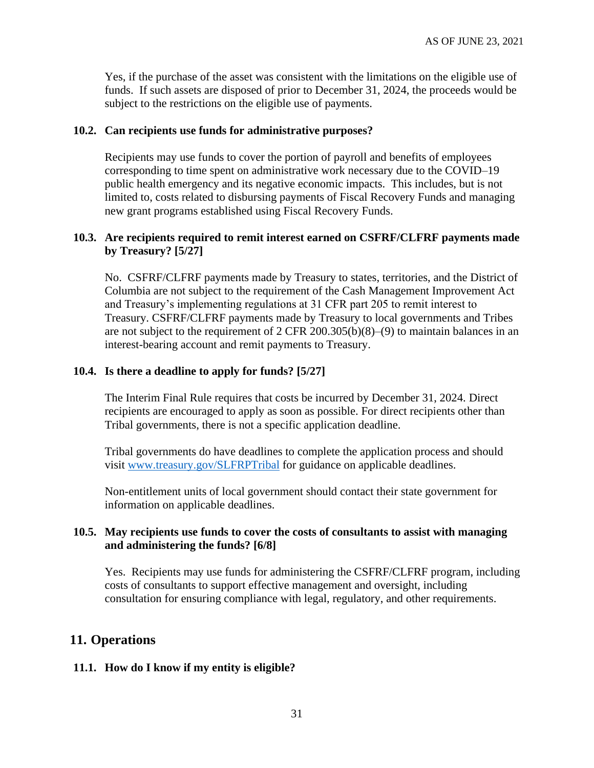Yes, if the purchase of the asset was consistent with the limitations on the eligible use of funds. If such assets are disposed of prior to December 31, 2024, the proceeds would be subject to the restrictions on the eligible use of payments.

#### **10.2. Can recipients use funds for administrative purposes?**

Recipients may use funds to cover the portion of payroll and benefits of employees corresponding to time spent on administrative work necessary due to the COVID–19 public health emergency and its negative economic impacts. This includes, but is not limited to, costs related to disbursing payments of Fiscal Recovery Funds and managing new grant programs established using Fiscal Recovery Funds.

#### <span id="page-30-0"></span>**10.3. Are recipients required to remit interest earned on CSFRF/CLFRF payments made by Treasury? [5/27]**

No. CSFRF/CLFRF payments made by Treasury to states, territories, and the District of Columbia are not subject to the requirement of the Cash Management Improvement Act and Treasury's implementing regulations at 31 CFR part 205 to remit interest to Treasury. CSFRF/CLFRF payments made by Treasury to local governments and Tribes are not subject to the requirement of 2 CFR 200.305(b)(8)–(9) to maintain balances in an interest-bearing account and remit payments to Treasury.

#### <span id="page-30-1"></span>**10.4. Is there a deadline to apply for funds? [5/27]**

The Interim Final Rule requires that costs be incurred by December 31, 2024. Direct recipients are encouraged to apply as soon as possible. For direct recipients other than Tribal governments, there is not a specific application deadline.

Tribal governments do have deadlines to complete the application process and should visit [www.treasury.gov/SLFRPTribal](http://www.treasury.gov/SLFRPTribal) for guidance on applicable deadlines.

Non-entitlement units of local government should contact their state government for information on applicable deadlines.

#### <span id="page-30-2"></span>**10.5. May recipients use funds to cover the costs of consultants to assist with managing and administering the funds? [6/8]**

Yes. Recipients may use funds for administering the CSFRF/CLFRF program, including costs of consultants to support effective management and oversight, including consultation for ensuring compliance with legal, regulatory, and other requirements.

## **11. Operations**

#### **11.1. How do I know if my entity is eligible?**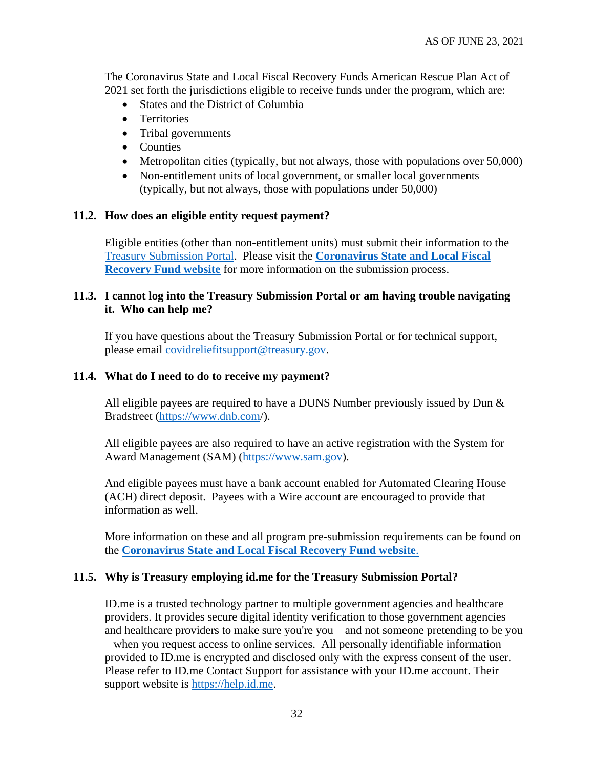The Coronavirus State and Local Fiscal Recovery Funds American Rescue Plan Act of 2021 set forth the jurisdictions eligible to receive funds under the program, which are:

- States and the District of Columbia
- Territories
- Tribal governments
- Counties
- Metropolitan cities (typically, but not always, those with populations over 50,000)
- Non-entitlement units of local government, or smaller local governments (typically, but not always, those with populations under 50,000)

#### **11.2. How does an eligible entity request payment?**

Eligible entities (other than non-entitlement units) must submit their information to the [Treasury Submission Portal.](https://portal.treasury.gov/cares/s/slt) Please visit the **[Coronavirus State and Local Fiscal](https://home.treasury.gov/policy-issues/coronavirus/assistance-for-state-local-and-tribal-governments/state-and-local-fiscal-recovery-fund)  [Recovery Fund website](https://home.treasury.gov/policy-issues/coronavirus/assistance-for-state-local-and-tribal-governments/state-and-local-fiscal-recovery-fund)** for more information on the submission process.

#### **11.3. I cannot log into the Treasury Submission Portal or am having trouble navigating it. Who can help me?**

If you have questions about the Treasury Submission Portal or for technical support, please email [covidreliefitsupport@treasury.gov.](mailto:covidreliefitsupport@treasury.gov)

#### **11.4. What do I need to do to receive my payment?**

All eligible payees are required to have a DUNS Number previously issued by Dun  $\&$ Bradstreet [\(https://www.dnb.com/](https://www.dnb.com/)).

All eligible payees are also required to have an active registration with the System for Award Management (SAM) [\(https://www.sam.gov\)](https://www.sam.gov/).

And eligible payees must have a bank account enabled for Automated Clearing House (ACH) direct deposit. Payees with a Wire account are encouraged to provide that information as well.

More information on these and all program pre-submission requirements can be found on the **[Coronavirus State and Local Fiscal Recovery Fund website](https://home.treasury.gov/policy-issues/coronavirus/assistance-for-state-local-and-tribal-governments/state-and-local-fiscal-recovery-fund)**.

#### **11.5. Why is Treasury employing id.me for the Treasury Submission Portal?**

ID.me is a trusted technology partner to multiple government agencies and healthcare providers. It provides secure digital identity verification to those government agencies and healthcare providers to make sure you're you – and not someone pretending to be you – when you request access to online services. All personally identifiable information provided to ID.me is encrypted and disclosed only with the express consent of the user. Please refer to ID.me Contact Support for assistance with your ID.me account. Their support website is [https://help.id.me.](https://help.id.me/)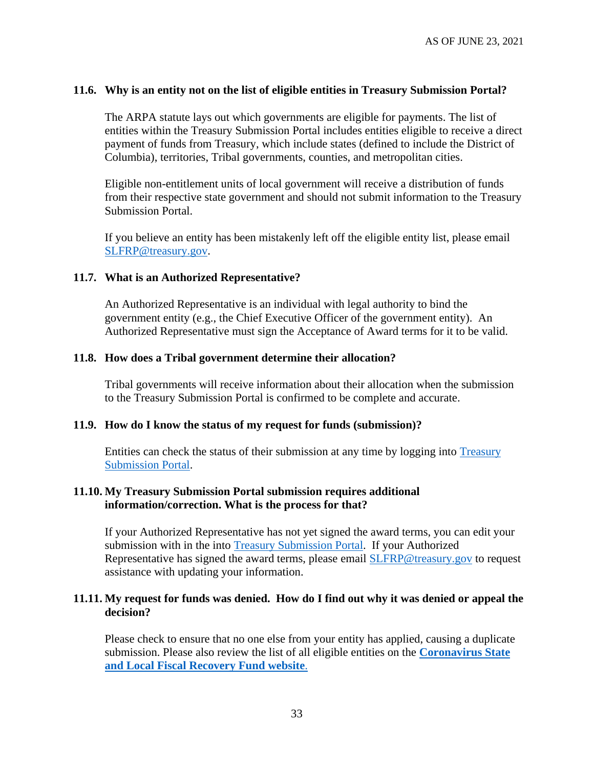#### **11.6. Why is an entity not on the list of eligible entities in Treasury Submission Portal?**

The ARPA statute lays out which governments are eligible for payments. The list of entities within the Treasury Submission Portal includes entities eligible to receive a direct payment of funds from Treasury, which include states (defined to include the District of Columbia), territories, Tribal governments, counties, and metropolitan cities.

Eligible non-entitlement units of local government will receive a distribution of funds from their respective state government and should not submit information to the Treasury Submission Portal.

If you believe an entity has been mistakenly left off the eligible entity list, please email [SLFRP@treasury.gov.](mailto:SLFRP@treasury.gov)

#### **11.7. What is an Authorized Representative?**

An Authorized Representative is an individual with legal authority to bind the government entity (e.g., the Chief Executive Officer of the government entity). An Authorized Representative must sign the Acceptance of Award terms for it to be valid.

#### **11.8. How does a Tribal government determine their allocation?**

Tribal governments will receive information about their allocation when the submission to the Treasury Submission Portal is confirmed to be complete and accurate.

#### **11.9. How do I know the status of my request for funds (submission)?**

Entities can check the status of their submission at any time by logging into [Treasury](https://portal.treasury.gov/cares/s/slt)  [Submission Portal.](https://portal.treasury.gov/cares/s/slt)

#### **11.10. My Treasury Submission Portal submission requires additional information/correction. What is the process for that?**

If your Authorized Representative has not yet signed the award terms, you can edit your submission with in the into [Treasury Submission Portal.](https://portal.treasury.gov/cares/s/slt) If your Authorized Representative has signed the award terms, please email **SLFRP@treasury.gov** to request assistance with updating your information.

#### **11.11. My request for funds was denied. How do I find out why it was denied or appeal the decision?**

Please check to ensure that no one else from your entity has applied, causing a duplicate submission. Please also review the list of all eligible entities on the **[Coronavirus State](https://home.treasury.gov/policy-issues/coronavirus/assistance-for-state-local-and-tribal-governments/state-and-local-fiscal-recovery-fund)  [and Local Fiscal Recovery Fund website](https://home.treasury.gov/policy-issues/coronavirus/assistance-for-state-local-and-tribal-governments/state-and-local-fiscal-recovery-fund)**.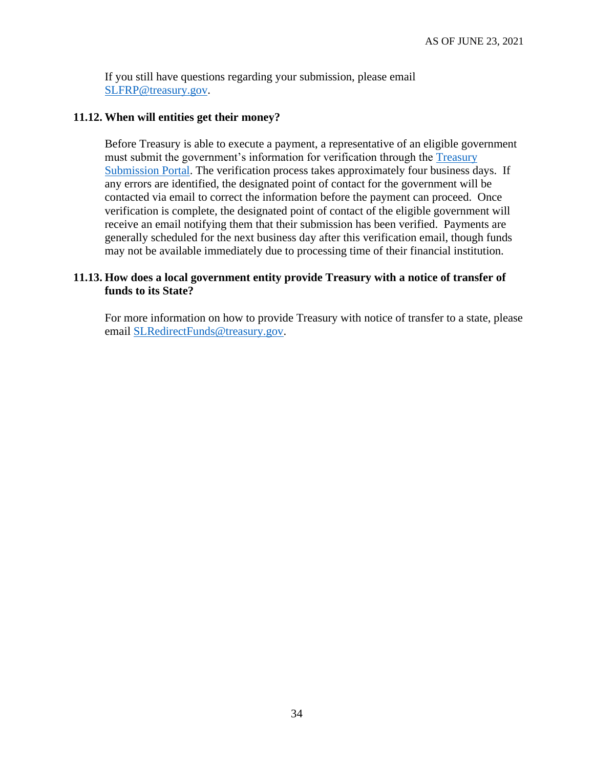If you still have questions regarding your submission, please email [SLFRP@treasury.gov.](mailto:SLFRP@treasury.gov)

#### **11.12. When will entities get their money?**

Before Treasury is able to execute a payment, a representative of an eligible government must submit the government's information for verification through the [Treasury](https://portal.treasury.gov/cares/s/slt)  [Submission Portal.](https://portal.treasury.gov/cares/s/slt) The verification process takes approximately four business days. If any errors are identified, the designated point of contact for the government will be contacted via email to correct the information before the payment can proceed. Once verification is complete, the designated point of contact of the eligible government will receive an email notifying them that their submission has been verified. Payments are generally scheduled for the next business day after this verification email, though funds may not be available immediately due to processing time of their financial institution.

#### **11.13. How does a local government entity provide Treasury with a notice of transfer of funds to its State?**

For more information on how to provide Treasury with notice of transfer to a state, please email [SLRedirectFunds@treasury.gov.](mailto:SLRedirectFunds@treasury.gov)